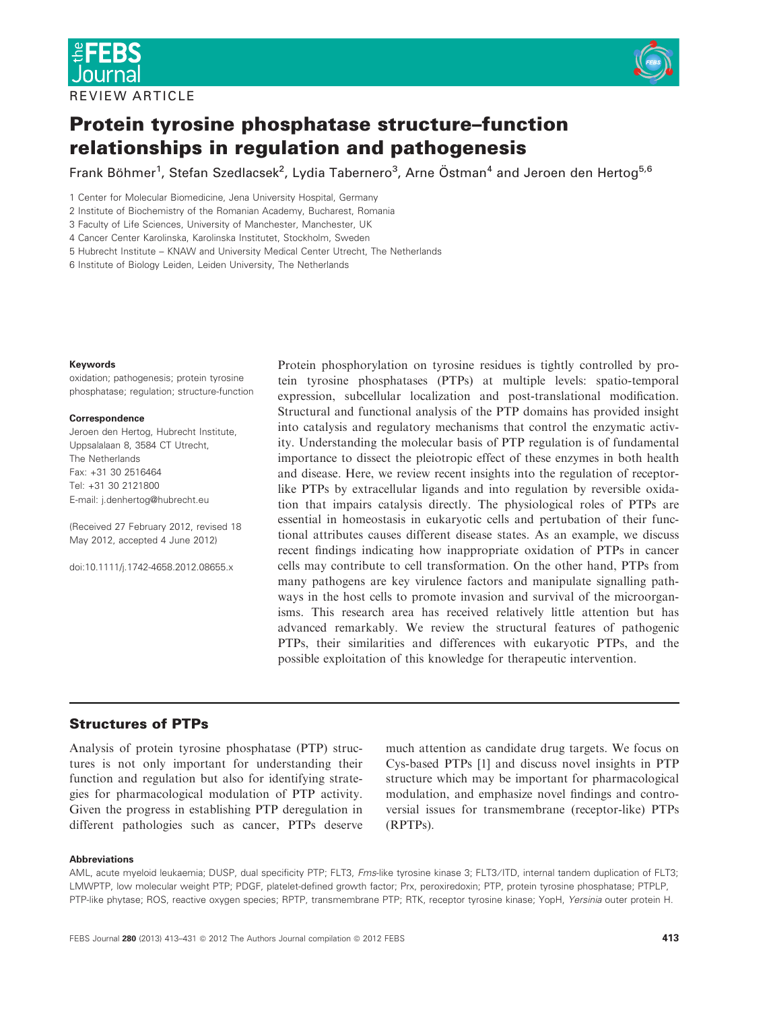



# Protein tyrosine phosphatase structure–function relationships in regulation and pathogenesis

Frank Böhmer<sup>1</sup>, Stefan Szedlacsek<sup>2</sup>, Lydia Tabernero<sup>3</sup>, Arne Östman<sup>4</sup> and Jeroen den Hertog<sup>5,6</sup>

1 Center for Molecular Biomedicine, Jena University Hospital, Germany

- 2 Institute of Biochemistry of the Romanian Academy, Bucharest, Romania
- 3 Faculty of Life Sciences, University of Manchester, Manchester, UK
- 4 Cancer Center Karolinska, Karolinska Institutet, Stockholm, Sweden
- 5 Hubrecht Institute KNAW and University Medical Center Utrecht, The Netherlands

6 Institute of Biology Leiden, Leiden University, The Netherlands

#### Keywords

oxidation; pathogenesis; protein tyrosine phosphatase; regulation; structure-function

#### **Correspondence**

Jeroen den Hertog, Hubrecht Institute, Uppsalalaan 8, 3584 CT Utrecht, The Netherlands Fax: +31 30 2516464 Tel: +31 30 2121800 E-mail: j.denhertog@hubrecht.eu

(Received 27 February 2012, revised 18 May 2012, accepted 4 June 2012)

doi:10.1111/j.1742-4658.2012.08655.x

Protein phosphorylation on tyrosine residues is tightly controlled by protein tyrosine phosphatases (PTPs) at multiple levels: spatio-temporal expression, subcellular localization and post-translational modification. Structural and functional analysis of the PTP domains has provided insight into catalysis and regulatory mechanisms that control the enzymatic activity. Understanding the molecular basis of PTP regulation is of fundamental importance to dissect the pleiotropic effect of these enzymes in both health and disease. Here, we review recent insights into the regulation of receptorlike PTPs by extracellular ligands and into regulation by reversible oxidation that impairs catalysis directly. The physiological roles of PTPs are essential in homeostasis in eukaryotic cells and pertubation of their functional attributes causes different disease states. As an example, we discuss recent findings indicating how inappropriate oxidation of PTPs in cancer cells may contribute to cell transformation. On the other hand, PTPs from many pathogens are key virulence factors and manipulate signalling pathways in the host cells to promote invasion and survival of the microorganisms. This research area has received relatively little attention but has advanced remarkably. We review the structural features of pathogenic PTPs, their similarities and differences with eukaryotic PTPs, and the possible exploitation of this knowledge for therapeutic intervention.

## Structures of PTPs

Analysis of protein tyrosine phosphatase (PTP) structures is not only important for understanding their function and regulation but also for identifying strategies for pharmacological modulation of PTP activity. Given the progress in establishing PTP deregulation in different pathologies such as cancer, PTPs deserve much attention as candidate drug targets. We focus on Cys-based PTPs [1] and discuss novel insights in PTP structure which may be important for pharmacological modulation, and emphasize novel findings and controversial issues for transmembrane (receptor-like) PTPs (RPTPs).

#### Abbreviations

AML, acute myeloid leukaemia; DUSP, dual specificity PTP; FLT3, Fms-like tyrosine kinase 3; FLT3/ITD, internal tandem duplication of FLT3; LMWPTP, low molecular weight PTP; PDGF, platelet-defined growth factor; Prx, peroxiredoxin; PTP, protein tyrosine phosphatase; PTPLP, PTP-like phytase; ROS, reactive oxygen species; RPTP, transmembrane PTP; RTK, receptor tyrosine kinase; YopH, Yersinia outer protein H.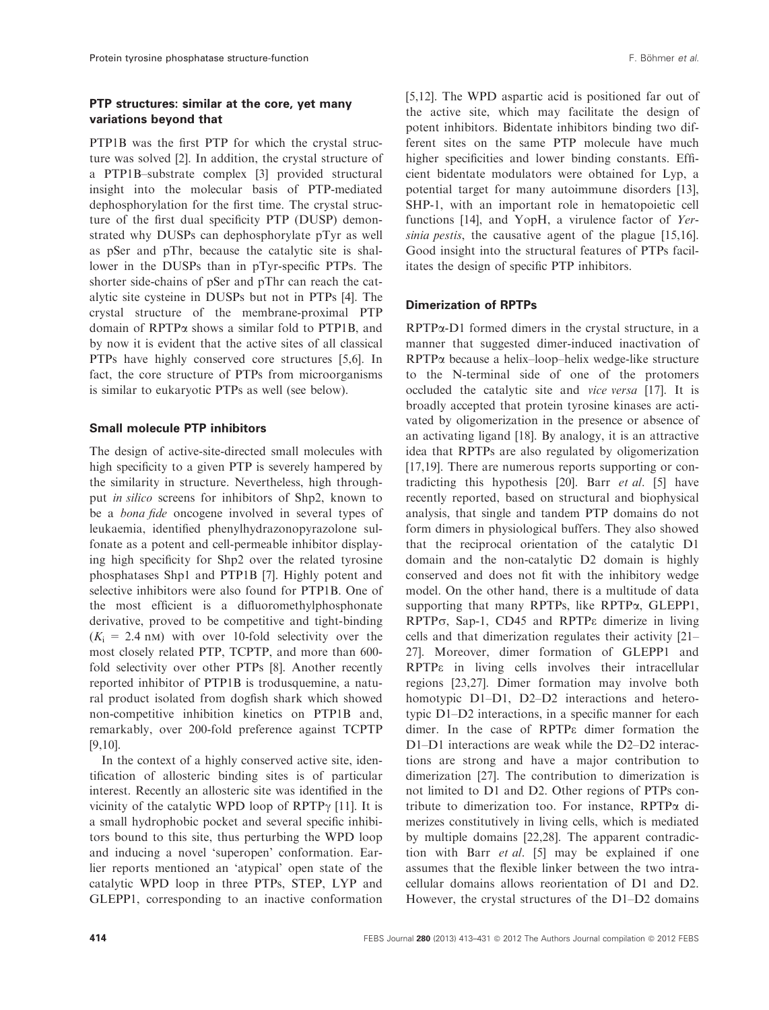## PTP structures: similar at the core, yet many variations beyond that

PTP1B was the first PTP for which the crystal structure was solved [2]. In addition, the crystal structure of a PTP1B–substrate complex [3] provided structural insight into the molecular basis of PTP-mediated dephosphorylation for the first time. The crystal structure of the first dual specificity PTP (DUSP) demonstrated why DUSPs can dephosphorylate pTyr as well as pSer and pThr, because the catalytic site is shallower in the DUSPs than in pTyr-specific PTPs. The shorter side-chains of pSer and pThr can reach the catalytic site cysteine in DUSPs but not in PTPs [4]. The crystal structure of the membrane-proximal PTP domain of RPTPa shows a similar fold to PTP1B, and by now it is evident that the active sites of all classical PTPs have highly conserved core structures [5,6]. In fact, the core structure of PTPs from microorganisms is similar to eukaryotic PTPs as well (see below).

### Small molecule PTP inhibitors

The design of active-site-directed small molecules with high specificity to a given PTP is severely hampered by the similarity in structure. Nevertheless, high throughput in silico screens for inhibitors of Shp2, known to be a bona fide oncogene involved in several types of leukaemia, identified phenylhydrazonopyrazolone sulfonate as a potent and cell-permeable inhibitor displaying high specificity for Shp2 over the related tyrosine phosphatases Shp1 and PTP1B [7]. Highly potent and selective inhibitors were also found for PTP1B. One of the most efficient is a difluoromethylphosphonate derivative, proved to be competitive and tight-binding  $(K_i = 2.4 \text{ nm})$  with over 10-fold selectivity over the most closely related PTP, TCPTP, and more than 600 fold selectivity over other PTPs [8]. Another recently reported inhibitor of PTP1B is trodusquemine, a natural product isolated from dogfish shark which showed non-competitive inhibition kinetics on PTP1B and, remarkably, over 200-fold preference against TCPTP [9,10].

In the context of a highly conserved active site, identification of allosteric binding sites is of particular interest. Recently an allosteric site was identified in the vicinity of the catalytic WPD loop of  $RPTP\gamma$  [11]. It is a small hydrophobic pocket and several specific inhibitors bound to this site, thus perturbing the WPD loop and inducing a novel 'superopen' conformation. Earlier reports mentioned an 'atypical' open state of the catalytic WPD loop in three PTPs, STEP, LYP and GLEPP1, corresponding to an inactive conformation

[5,12]. The WPD aspartic acid is positioned far out of the active site, which may facilitate the design of potent inhibitors. Bidentate inhibitors binding two different sites on the same PTP molecule have much higher specificities and lower binding constants. Efficient bidentate modulators were obtained for Lyp, a potential target for many autoimmune disorders [13], SHP-1, with an important role in hematopoietic cell functions [14], and YopH, a virulence factor of Yersinia pestis, the causative agent of the plague [15,16]. Good insight into the structural features of PTPs facilitates the design of specific PTP inhibitors.

#### Dimerization of RPTPs

RPTPa-D1 formed dimers in the crystal structure, in a manner that suggested dimer-induced inactivation of RPTPa because a helix–loop–helix wedge-like structure to the N-terminal side of one of the protomers occluded the catalytic site and vice versa [17]. It is broadly accepted that protein tyrosine kinases are activated by oligomerization in the presence or absence of an activating ligand [18]. By analogy, it is an attractive idea that RPTPs are also regulated by oligomerization [17,19]. There are numerous reports supporting or contradicting this hypothesis [20]. Barr et al. [5] have recently reported, based on structural and biophysical analysis, that single and tandem PTP domains do not form dimers in physiological buffers. They also showed that the reciprocal orientation of the catalytic D1 domain and the non-catalytic D2 domain is highly conserved and does not fit with the inhibitory wedge model. On the other hand, there is a multitude of data supporting that many RPTPs, like  $RPTP\alpha$ , GLEPP1,  $RPTP\sigma$ , Sap-1, CD45 and RPTP $\varepsilon$  dimerize in living cells and that dimerization regulates their activity [21– 27]. Moreover, dimer formation of GLEPP1 and RPTPe in living cells involves their intracellular regions [23,27]. Dimer formation may involve both homotypic D1–D1, D2–D2 interactions and heterotypic D1–D2 interactions, in a specific manner for each dimer. In the case of RPTPe dimer formation the D1–D1 interactions are weak while the D2–D2 interactions are strong and have a major contribution to dimerization [27]. The contribution to dimerization is not limited to D1 and D2. Other regions of PTPs contribute to dimerization too. For instance, RPTPa dimerizes constitutively in living cells, which is mediated by multiple domains [22,28]. The apparent contradiction with Barr et al. [5] may be explained if one assumes that the flexible linker between the two intracellular domains allows reorientation of D1 and D2. However, the crystal structures of the D1–D2 domains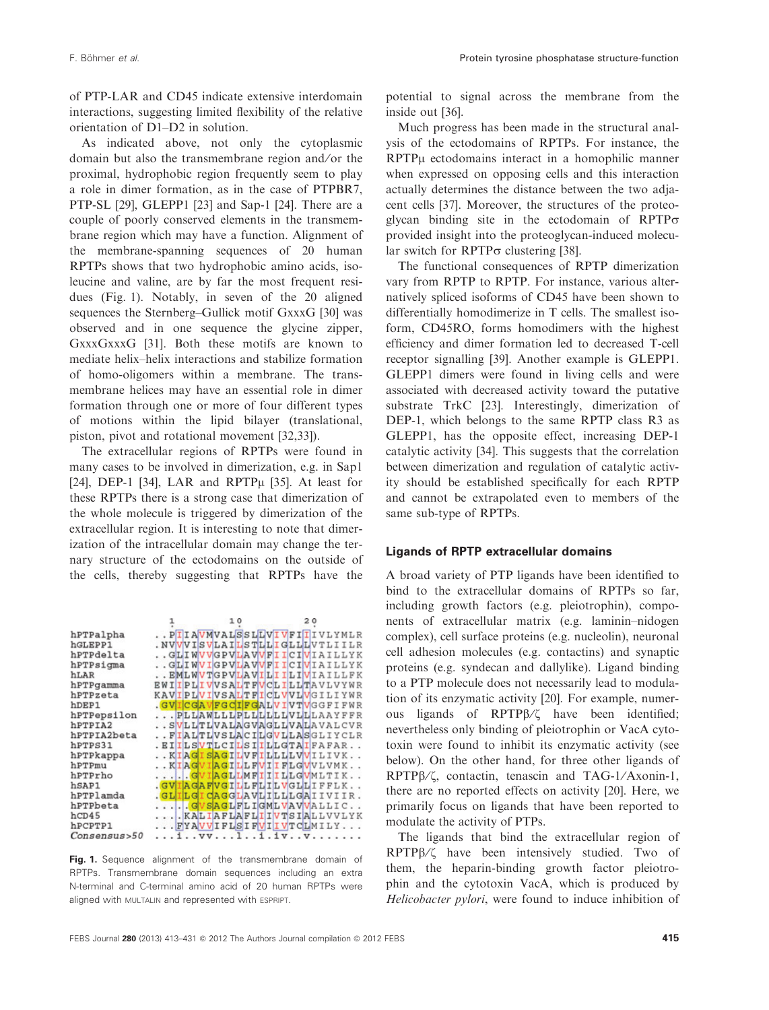of PTP-LAR and CD45 indicate extensive interdomain interactions, suggesting limited flexibility of the relative orientation of D1–D2 in solution.

As indicated above, not only the cytoplasmic domain but also the transmembrane region and/or the proximal, hydrophobic region frequently seem to play a role in dimer formation, as in the case of PTPBR7, PTP-SL [29], GLEPP1 [23] and Sap-1 [24]. There are a couple of poorly conserved elements in the transmembrane region which may have a function. Alignment of the membrane-spanning sequences of 20 human RPTPs shows that two hydrophobic amino acids, isoleucine and valine, are by far the most frequent residues (Fig. 1). Notably, in seven of the 20 aligned sequences the Sternberg–Gullick motif GxxxG [30] was observed and in one sequence the glycine zipper, GxxxGxxxG [31]. Both these motifs are known to mediate helix–helix interactions and stabilize formation of homo-oligomers within a membrane. The transmembrane helices may have an essential role in dimer formation through one or more of four different types of motions within the lipid bilayer (translational, piston, pivot and rotational movement [32,33]).

The extracellular regions of RPTPs were found in many cases to be involved in dimerization, e.g. in Sap1 [24], DEP-1 [34], LAR and RPTP $\mu$  [35]. At least for these RPTPs there is a strong case that dimerization of the whole molecule is triggered by dimerization of the extracellular region. It is interesting to note that dimerization of the intracellular domain may change the ternary structure of the ectodomains on the outside of the cells, thereby suggesting that RPTPs have the

| hPTPalpha    |  |  |  |  |  |  |  |  |  |  |  | PIIAVMVALSSLLVIVFIIIVLYMLR                       |  |  |
|--------------|--|--|--|--|--|--|--|--|--|--|--|--------------------------------------------------|--|--|
| hGLEPP1      |  |  |  |  |  |  |  |  |  |  |  | . NVVVISVLAILSTLLIGLLLVTLIILR                    |  |  |
| hPTPdelta    |  |  |  |  |  |  |  |  |  |  |  | . . GLI W <mark>VVGPVLAVVFI ICIV</mark> I AILLYK |  |  |
| hPTPsigma    |  |  |  |  |  |  |  |  |  |  |  | . . GLI W <mark>V I</mark> GPVLAVVFI ICIVIAILLYK |  |  |
| hLAR         |  |  |  |  |  |  |  |  |  |  |  | . . EMLWVTGPVLAVILIILIWIAILLFK                   |  |  |
| hPTPgamma    |  |  |  |  |  |  |  |  |  |  |  | EWIIPLIVVSALTFVCLILLTAVLVYWR                     |  |  |
| hPTPzeta     |  |  |  |  |  |  |  |  |  |  |  | KAVIPL <mark>VIVSALTFICLVVLV</mark> GILIYWR      |  |  |
| hDEP1        |  |  |  |  |  |  |  |  |  |  |  | . GVICGAVFGCIFGALVIVTVGGFIFWR                    |  |  |
| hPTPepsilon  |  |  |  |  |  |  |  |  |  |  |  | PLLAWLLLPLLLLLLVLLLAAYFFR                        |  |  |
| hPTPIA2      |  |  |  |  |  |  |  |  |  |  |  | SVLLTLVALAGVAGLLVALAVALCVR                       |  |  |
| hPTPIA2beta  |  |  |  |  |  |  |  |  |  |  |  | . . FIALTLVSLACILGVLLASGLIYCLR                   |  |  |
| hPTPS31      |  |  |  |  |  |  |  |  |  |  |  | . EI <mark>ILSVTLCILSIILLGTAI</mark> FAFAR       |  |  |
| hPTPkappa    |  |  |  |  |  |  |  |  |  |  |  | . . KIAGISAGILVFILLLLVVILIVK. .                  |  |  |
| hPTPmu       |  |  |  |  |  |  |  |  |  |  |  | . . K <mark>IAGVIAGILLFWII FLGW</mark> VLVMK. .  |  |  |
| hPTPrho      |  |  |  |  |  |  |  |  |  |  |  | GVIAGLLMFIIILLGVMLTIK                            |  |  |
| hSAP1        |  |  |  |  |  |  |  |  |  |  |  | . GVIAGAFVGILLFLILVGLLIFFLK                      |  |  |
| hPTPlamda    |  |  |  |  |  |  |  |  |  |  |  | . GLILGICAGGLAVLILLLGAIIVIIR.                    |  |  |
| hPTPbeta     |  |  |  |  |  |  |  |  |  |  |  | GVSAGLFLIGMLVAVVALLIC                            |  |  |
| hCD45        |  |  |  |  |  |  |  |  |  |  |  | KALIAFLAFLIIVTSIALLVVLYK                         |  |  |
| hPCPTP1      |  |  |  |  |  |  |  |  |  |  |  | FYAVVIFLSIFVIIVTCLMILY                           |  |  |
| Consensus>50 |  |  |  |  |  |  |  |  |  |  |  | . 1 vv 1 1 . i v v                               |  |  |

Fig. 1. Sequence alignment of the transmembrane domain of RPTPs. Transmembrane domain sequences including an extra N-terminal and C-terminal amino acid of 20 human RPTPs were aligned with MULTALIN and represented with ESPRIPT.

potential to signal across the membrane from the inside out [36].

Much progress has been made in the structural analysis of the ectodomains of RPTPs. For instance, the RPTP<sub>u</sub> ectodomains interact in a homophilic manner when expressed on opposing cells and this interaction actually determines the distance between the two adjacent cells [37]. Moreover, the structures of the proteoglycan binding site in the ectodomain of RPTP $\sigma$ provided insight into the proteoglycan-induced molecular switch for  $RPTP\sigma$  clustering [38].

The functional consequences of RPTP dimerization vary from RPTP to RPTP. For instance, various alternatively spliced isoforms of CD45 have been shown to differentially homodimerize in T cells. The smallest isoform, CD45RO, forms homodimers with the highest efficiency and dimer formation led to decreased T-cell receptor signalling [39]. Another example is GLEPP1. GLEPP1 dimers were found in living cells and were associated with decreased activity toward the putative substrate TrkC [23]. Interestingly, dimerization of DEP-1, which belongs to the same RPTP class R3 as GLEPP1, has the opposite effect, increasing DEP-1 catalytic activity [34]. This suggests that the correlation between dimerization and regulation of catalytic activity should be established specifically for each RPTP and cannot be extrapolated even to members of the same sub-type of RPTPs.

## Ligands of RPTP extracellular domains

A broad variety of PTP ligands have been identified to bind to the extracellular domains of RPTPs so far, including growth factors (e.g. pleiotrophin), components of extracellular matrix (e.g. laminin–nidogen complex), cell surface proteins (e.g. nucleolin), neuronal cell adhesion molecules (e.g. contactins) and synaptic proteins (e.g. syndecan and dallylike). Ligand binding to a PTP molecule does not necessarily lead to modulation of its enzymatic activity [20]. For example, numerous ligands of  $RPTP\beta/\zeta$  have been identified; nevertheless only binding of pleiotrophin or VacA cytotoxin were found to inhibit its enzymatic activity (see below). On the other hand, for three other ligands of RPTP $\beta$ / $\zeta$ , contactin, tenascin and TAG-1/Axonin-1, there are no reported effects on activity [20]. Here, we primarily focus on ligands that have been reported to modulate the activity of PTPs.

The ligands that bind the extracellular region of  $RPTP\beta/\zeta$  have been intensively studied. Two of them, the heparin-binding growth factor pleiotrophin and the cytotoxin VacA, which is produced by Helicobacter pylori, were found to induce inhibition of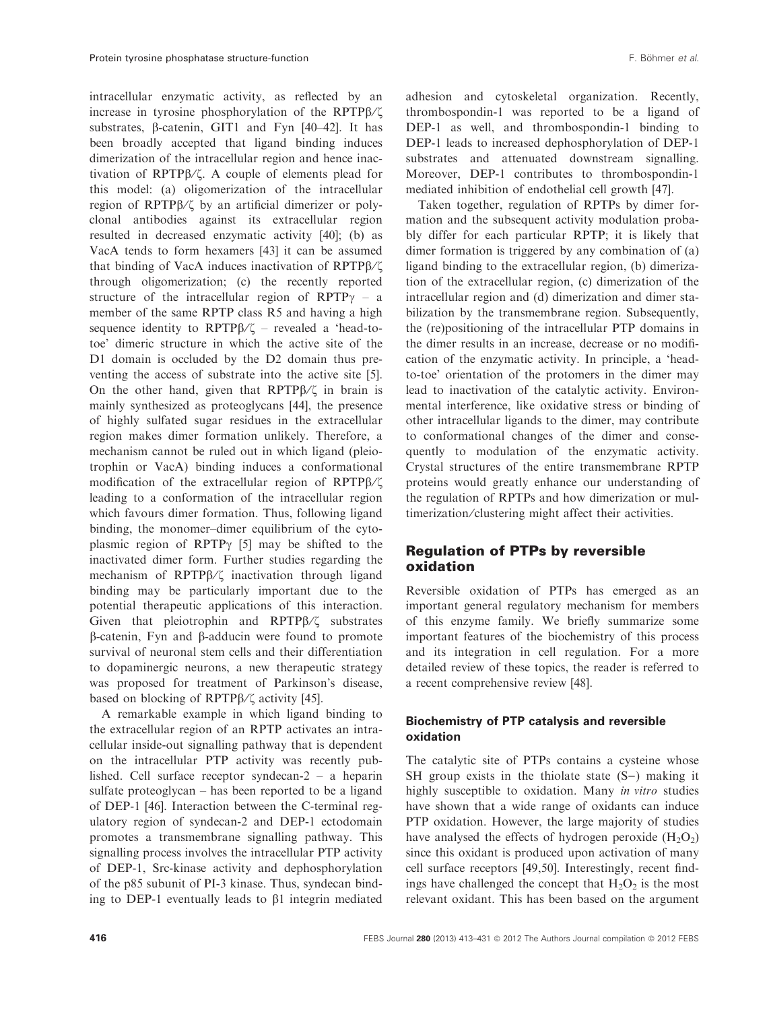intracellular enzymatic activity, as reflected by an increase in tyrosine phosphorylation of the RPTP $\beta$ / $\zeta$ substrates, b-catenin, GIT1 and Fyn [40–42]. It has been broadly accepted that ligand binding induces dimerization of the intracellular region and hence inactivation of RPTP $\beta$ / $\zeta$ . A couple of elements plead for this model: (a) oligomerization of the intracellular region of  $RPTP\beta/\zeta$  by an artificial dimerizer or polyclonal antibodies against its extracellular region resulted in decreased enzymatic activity [40]; (b) as VacA tends to form hexamers [43] it can be assumed that binding of VacA induces inactivation of  $RPTP\beta/\zeta$ through oligomerization; (c) the recently reported structure of the intracellular region of RPTP $\gamma$  – a member of the same RPTP class R5 and having a high sequence identity to  $RPTP\beta/\zeta$  – revealed a 'head-totoe' dimeric structure in which the active site of the D1 domain is occluded by the D2 domain thus preventing the access of substrate into the active site [5]. On the other hand, given that  $RPTP\beta/\zeta$  in brain is mainly synthesized as proteoglycans [44], the presence of highly sulfated sugar residues in the extracellular region makes dimer formation unlikely. Therefore, a mechanism cannot be ruled out in which ligand (pleiotrophin or VacA) binding induces a conformational modification of the extracellular region of RPTP $\beta$ / $\zeta$ leading to a conformation of the intracellular region which favours dimer formation. Thus, following ligand binding, the monomer–dimer equilibrium of the cytoplasmic region of RPTP $\gamma$  [5] may be shifted to the inactivated dimer form. Further studies regarding the mechanism of  $RPTP\beta/\zeta$  inactivation through ligand binding may be particularly important due to the potential therapeutic applications of this interaction. Given that pleiotrophin and  $RPTP\beta/\zeta$  substrates b-catenin, Fyn and b-adducin were found to promote survival of neuronal stem cells and their differentiation to dopaminergic neurons, a new therapeutic strategy was proposed for treatment of Parkinson's disease, based on blocking of RPTP $\beta$ / $\zeta$  activity [45].

A remarkable example in which ligand binding to the extracellular region of an RPTP activates an intracellular inside-out signalling pathway that is dependent on the intracellular PTP activity was recently published. Cell surface receptor syndecan-2 – a heparin sulfate proteoglycan – has been reported to be a ligand of DEP-1 [46]. Interaction between the C-terminal regulatory region of syndecan-2 and DEP-1 ectodomain promotes a transmembrane signalling pathway. This signalling process involves the intracellular PTP activity of DEP-1, Src-kinase activity and dephosphorylation of the p85 subunit of PI-3 kinase. Thus, syndecan binding to DEP-1 eventually leads to  $\beta$ 1 integrin mediated

adhesion and cytoskeletal organization. Recently, thrombospondin-1 was reported to be a ligand of DEP-1 as well, and thrombospondin-1 binding to DEP-1 leads to increased dephosphorylation of DEP-1 substrates and attenuated downstream signalling. Moreover, DEP-1 contributes to thrombospondin-1 mediated inhibition of endothelial cell growth [47].

Taken together, regulation of RPTPs by dimer formation and the subsequent activity modulation probably differ for each particular RPTP; it is likely that dimer formation is triggered by any combination of (a) ligand binding to the extracellular region, (b) dimerization of the extracellular region, (c) dimerization of the intracellular region and (d) dimerization and dimer stabilization by the transmembrane region. Subsequently, the (re)positioning of the intracellular PTP domains in the dimer results in an increase, decrease or no modification of the enzymatic activity. In principle, a 'headto-toe' orientation of the protomers in the dimer may lead to inactivation of the catalytic activity. Environmental interference, like oxidative stress or binding of other intracellular ligands to the dimer, may contribute to conformational changes of the dimer and consequently to modulation of the enzymatic activity. Crystal structures of the entire transmembrane RPTP proteins would greatly enhance our understanding of the regulation of RPTPs and how dimerization or multimerization/clustering might affect their activities.

# Regulation of PTPs by reversible oxidation

Reversible oxidation of PTPs has emerged as an important general regulatory mechanism for members of this enzyme family. We briefly summarize some important features of the biochemistry of this process and its integration in cell regulation. For a more detailed review of these topics, the reader is referred to a recent comprehensive review [48].

## Biochemistry of PTP catalysis and reversible oxidation

The catalytic site of PTPs contains a cysteine whose SH group exists in the thiolate state  $(S-)$  making it highly susceptible to oxidation. Many *in vitro* studies have shown that a wide range of oxidants can induce PTP oxidation. However, the large majority of studies have analysed the effects of hydrogen peroxide  $(H_2O_2)$ since this oxidant is produced upon activation of many cell surface receptors [49,50]. Interestingly, recent findings have challenged the concept that  $H_2O_2$  is the most relevant oxidant. This has been based on the argument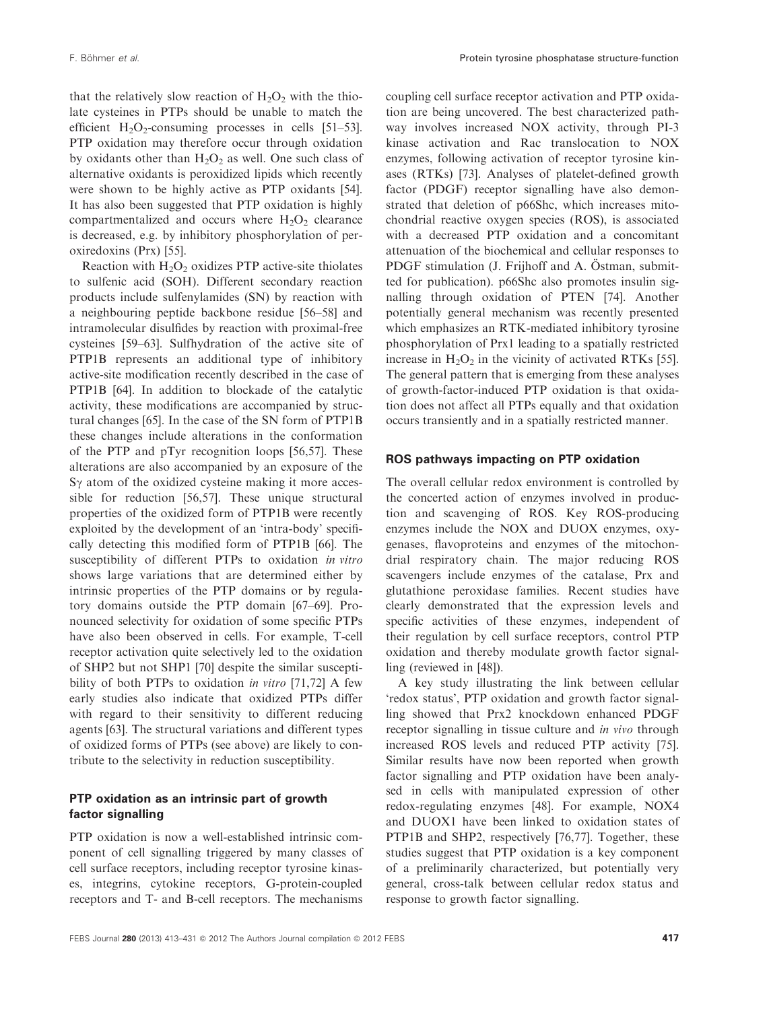that the relatively slow reaction of  $H_2O_2$  with the thiolate cysteines in PTPs should be unable to match the efficient  $H_2O_2$ -consuming processes in cells [51–53]. PTP oxidation may therefore occur through oxidation by oxidants other than  $H_2O_2$  as well. One such class of alternative oxidants is peroxidized lipids which recently were shown to be highly active as PTP oxidants [54]. It has also been suggested that PTP oxidation is highly compartmentalized and occurs where  $H_2O_2$  clearance is decreased, e.g. by inhibitory phosphorylation of peroxiredoxins (Prx) [55].

Reaction with  $H_2O_2$  oxidizes PTP active-site thiolates to sulfenic acid (SOH). Different secondary reaction products include sulfenylamides (SN) by reaction with a neighbouring peptide backbone residue [56–58] and intramolecular disulfides by reaction with proximal-free cysteines [59–63]. Sulfhydration of the active site of PTP1B represents an additional type of inhibitory active-site modification recently described in the case of PTP1B [64]. In addition to blockade of the catalytic activity, these modifications are accompanied by structural changes [65]. In the case of the SN form of PTP1B these changes include alterations in the conformation of the PTP and pTyr recognition loops [56,57]. These alterations are also accompanied by an exposure of the  $S\gamma$  atom of the oxidized cysteine making it more accessible for reduction [56,57]. These unique structural properties of the oxidized form of PTP1B were recently exploited by the development of an 'intra-body' specifically detecting this modified form of PTP1B [66]. The susceptibility of different PTPs to oxidation in vitro shows large variations that are determined either by intrinsic properties of the PTP domains or by regulatory domains outside the PTP domain [67–69]. Pronounced selectivity for oxidation of some specific PTPs have also been observed in cells. For example, T-cell receptor activation quite selectively led to the oxidation of SHP2 but not SHP1 [70] despite the similar susceptibility of both PTPs to oxidation *in vitro* [71,72] A few early studies also indicate that oxidized PTPs differ with regard to their sensitivity to different reducing agents [63]. The structural variations and different types of oxidized forms of PTPs (see above) are likely to contribute to the selectivity in reduction susceptibility.

## PTP oxidation as an intrinsic part of growth factor signalling

PTP oxidation is now a well-established intrinsic component of cell signalling triggered by many classes of cell surface receptors, including receptor tyrosine kinases, integrins, cytokine receptors, G-protein-coupled receptors and T- and B-cell receptors. The mechanisms

coupling cell surface receptor activation and PTP oxidation are being uncovered. The best characterized pathway involves increased NOX activity, through PI-3 kinase activation and Rac translocation to NOX enzymes, following activation of receptor tyrosine kinases (RTKs) [73]. Analyses of platelet-defined growth factor (PDGF) receptor signalling have also demonstrated that deletion of p66Shc, which increases mitochondrial reactive oxygen species (ROS), is associated with a decreased PTP oxidation and a concomitant attenuation of the biochemical and cellular responses to PDGF stimulation (J. Frijhoff and A. Östman, submitted for publication). p66Shc also promotes insulin signalling through oxidation of PTEN [74]. Another potentially general mechanism was recently presented which emphasizes an RTK-mediated inhibitory tyrosine phosphorylation of Prx1 leading to a spatially restricted increase in  $H_2O_2$  in the vicinity of activated RTKs [55]. The general pattern that is emerging from these analyses of growth-factor-induced PTP oxidation is that oxidation does not affect all PTPs equally and that oxidation occurs transiently and in a spatially restricted manner.

#### ROS pathways impacting on PTP oxidation

The overall cellular redox environment is controlled by the concerted action of enzymes involved in production and scavenging of ROS. Key ROS-producing enzymes include the NOX and DUOX enzymes, oxygenases, flavoproteins and enzymes of the mitochondrial respiratory chain. The major reducing ROS scavengers include enzymes of the catalase, Prx and glutathione peroxidase families. Recent studies have clearly demonstrated that the expression levels and specific activities of these enzymes, independent of their regulation by cell surface receptors, control PTP oxidation and thereby modulate growth factor signalling (reviewed in [48]).

A key study illustrating the link between cellular 'redox status', PTP oxidation and growth factor signalling showed that Prx2 knockdown enhanced PDGF receptor signalling in tissue culture and *in vivo* through increased ROS levels and reduced PTP activity [75]. Similar results have now been reported when growth factor signalling and PTP oxidation have been analysed in cells with manipulated expression of other redox-regulating enzymes [48]. For example, NOX4 and DUOX1 have been linked to oxidation states of PTP1B and SHP2, respectively [76,77]. Together, these studies suggest that PTP oxidation is a key component of a preliminarily characterized, but potentially very general, cross-talk between cellular redox status and response to growth factor signalling.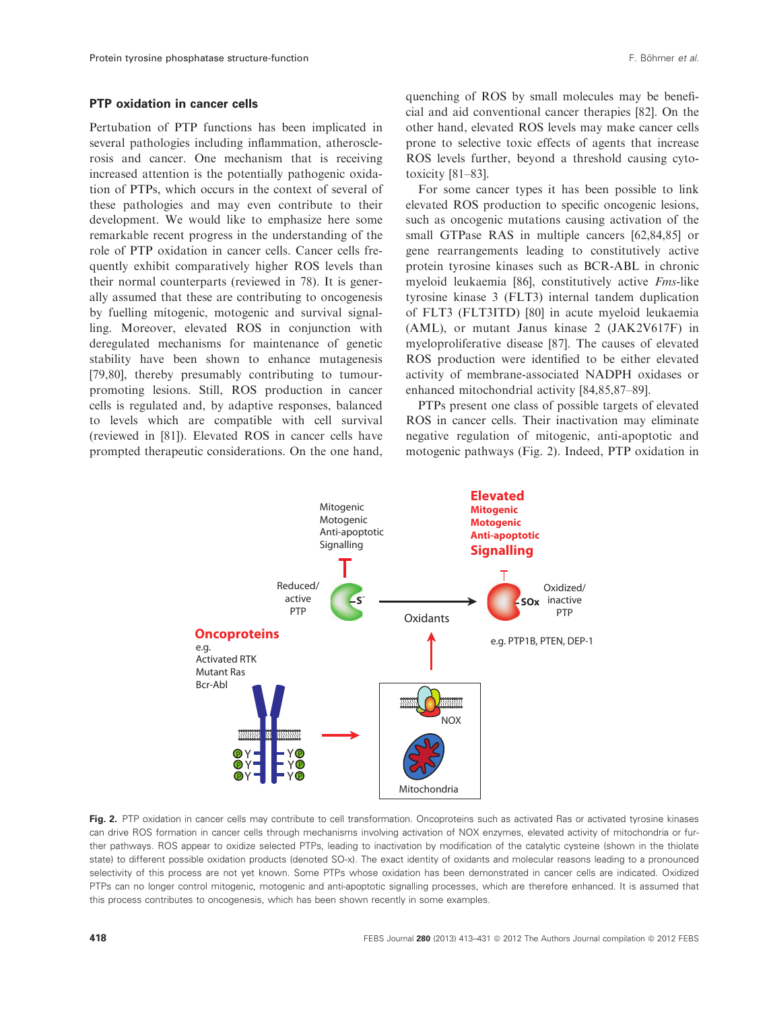#### PTP oxidation in cancer cells

Pertubation of PTP functions has been implicated in several pathologies including inflammation, atherosclerosis and cancer. One mechanism that is receiving increased attention is the potentially pathogenic oxidation of PTPs, which occurs in the context of several of these pathologies and may even contribute to their development. We would like to emphasize here some remarkable recent progress in the understanding of the role of PTP oxidation in cancer cells. Cancer cells frequently exhibit comparatively higher ROS levels than their normal counterparts (reviewed in 78). It is generally assumed that these are contributing to oncogenesis by fuelling mitogenic, motogenic and survival signalling. Moreover, elevated ROS in conjunction with deregulated mechanisms for maintenance of genetic stability have been shown to enhance mutagenesis [79,80], thereby presumably contributing to tumourpromoting lesions. Still, ROS production in cancer cells is regulated and, by adaptive responses, balanced to levels which are compatible with cell survival (reviewed in [81]). Elevated ROS in cancer cells have prompted therapeutic considerations. On the one hand,

quenching of ROS by small molecules may be beneficial and aid conventional cancer therapies [82]. On the other hand, elevated ROS levels may make cancer cells prone to selective toxic effects of agents that increase ROS levels further, beyond a threshold causing cytotoxicity [81–83].

For some cancer types it has been possible to link elevated ROS production to specific oncogenic lesions, such as oncogenic mutations causing activation of the small GTPase RAS in multiple cancers [62,84,85] or gene rearrangements leading to constitutively active protein tyrosine kinases such as BCR-ABL in chronic myeloid leukaemia [86], constitutively active Fms-like tyrosine kinase 3 (FLT3) internal tandem duplication of FLT3 (FLT3ITD) [80] in acute myeloid leukaemia (AML), or mutant Janus kinase 2 (JAK2V617F) in myeloproliferative disease [87]. The causes of elevated ROS production were identified to be either elevated activity of membrane-associated NADPH oxidases or enhanced mitochondrial activity [84,85,87–89].

PTPs present one class of possible targets of elevated ROS in cancer cells. Their inactivation may eliminate negative regulation of mitogenic, anti-apoptotic and motogenic pathways (Fig. 2). Indeed, PTP oxidation in



Fig. 2. PTP oxidation in cancer cells may contribute to cell transformation. Oncoproteins such as activated Ras or activated tyrosine kinases can drive ROS formation in cancer cells through mechanisms involving activation of NOX enzymes, elevated activity of mitochondria or further pathways. ROS appear to oxidize selected PTPs, leading to inactivation by modification of the catalytic cysteine (shown in the thiolate state) to different possible oxidation products (denoted SO-x). The exact identity of oxidants and molecular reasons leading to a pronounced selectivity of this process are not yet known. Some PTPs whose oxidation has been demonstrated in cancer cells are indicated. Oxidized PTPs can no longer control mitogenic, motogenic and anti-apoptotic signalling processes, which are therefore enhanced. It is assumed that this process contributes to oncogenesis, which has been shown recently in some examples.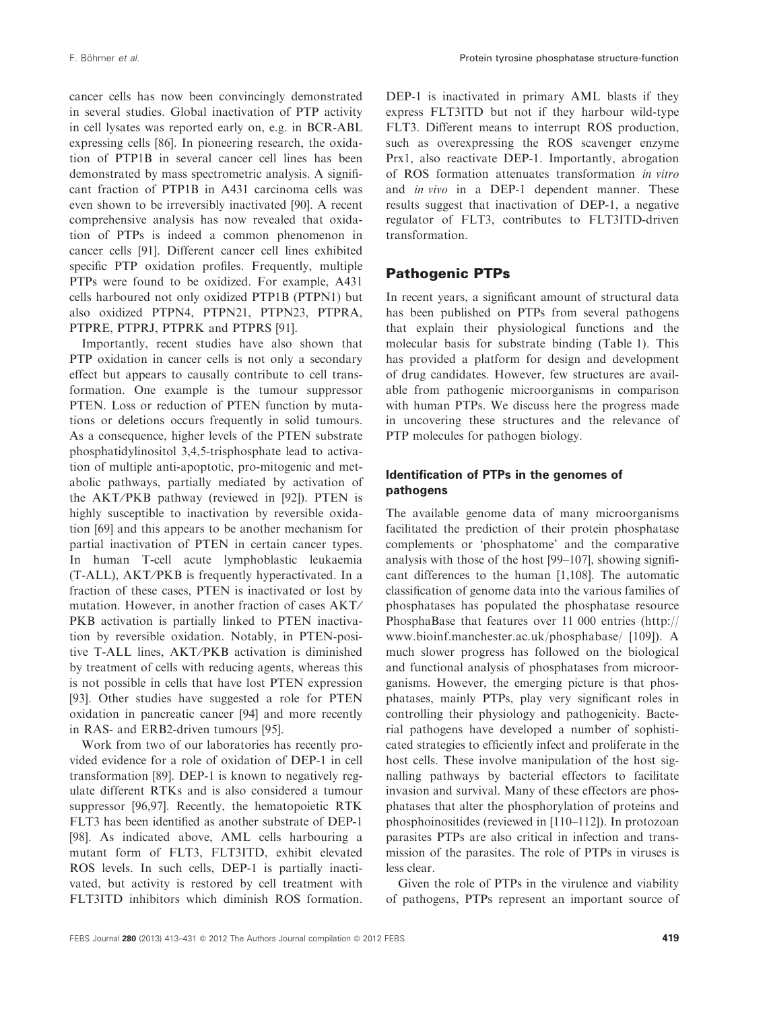cancer cells has now been convincingly demonstrated in several studies. Global inactivation of PTP activity in cell lysates was reported early on, e.g. in BCR-ABL expressing cells [86]. In pioneering research, the oxidation of PTP1B in several cancer cell lines has been demonstrated by mass spectrometric analysis. A significant fraction of PTP1B in A431 carcinoma cells was even shown to be irreversibly inactivated [90]. A recent comprehensive analysis has now revealed that oxidation of PTPs is indeed a common phenomenon in cancer cells [91]. Different cancer cell lines exhibited specific PTP oxidation profiles. Frequently, multiple PTPs were found to be oxidized. For example, A431 cells harboured not only oxidized PTP1B (PTPN1) but also oxidized PTPN4, PTPN21, PTPN23, PTPRA, PTPRE, PTPRJ, PTPRK and PTPRS [91].

Importantly, recent studies have also shown that PTP oxidation in cancer cells is not only a secondary effect but appears to causally contribute to cell transformation. One example is the tumour suppressor PTEN. Loss or reduction of PTEN function by mutations or deletions occurs frequently in solid tumours. As a consequence, higher levels of the PTEN substrate phosphatidylinositol 3,4,5-trisphosphate lead to activation of multiple anti-apoptotic, pro-mitogenic and metabolic pathways, partially mediated by activation of the AKT/PKB pathway (reviewed in [92]). PTEN is highly susceptible to inactivation by reversible oxidation [69] and this appears to be another mechanism for partial inactivation of PTEN in certain cancer types. In human T-cell acute lymphoblastic leukaemia (T-ALL), AKT⁄ PKB is frequently hyperactivated. In a fraction of these cases, PTEN is inactivated or lost by mutation. However, in another fraction of cases AKT⁄ PKB activation is partially linked to PTEN inactivation by reversible oxidation. Notably, in PTEN-positive T-ALL lines, AKT⁄ PKB activation is diminished by treatment of cells with reducing agents, whereas this is not possible in cells that have lost PTEN expression [93]. Other studies have suggested a role for PTEN oxidation in pancreatic cancer [94] and more recently in RAS- and ERB2-driven tumours [95].

Work from two of our laboratories has recently provided evidence for a role of oxidation of DEP-1 in cell transformation [89]. DEP-1 is known to negatively regulate different RTKs and is also considered a tumour suppressor [96,97]. Recently, the hematopoietic RTK FLT3 has been identified as another substrate of DEP-1 [98]. As indicated above, AML cells harbouring a mutant form of FLT3, FLT3ITD, exhibit elevated ROS levels. In such cells, DEP-1 is partially inactivated, but activity is restored by cell treatment with FLT3ITD inhibitors which diminish ROS formation. DEP-1 is inactivated in primary AML blasts if they express FLT3ITD but not if they harbour wild-type FLT3. Different means to interrupt ROS production, such as overexpressing the ROS scavenger enzyme Prx1, also reactivate DEP-1. Importantly, abrogation of ROS formation attenuates transformation in vitro and in vivo in a DEP-1 dependent manner. These results suggest that inactivation of DEP-1, a negative regulator of FLT3, contributes to FLT3ITD-driven transformation.

## Pathogenic PTPs

In recent years, a significant amount of structural data has been published on PTPs from several pathogens that explain their physiological functions and the molecular basis for substrate binding (Table 1). This has provided a platform for design and development of drug candidates. However, few structures are available from pathogenic microorganisms in comparison with human PTPs. We discuss here the progress made in uncovering these structures and the relevance of PTP molecules for pathogen biology.

## Identification of PTPs in the genomes of pathogens

The available genome data of many microorganisms facilitated the prediction of their protein phosphatase complements or 'phosphatome' and the comparative analysis with those of the host [99–107], showing significant differences to the human [1,108]. The automatic classification of genome data into the various families of phosphatases has populated the phosphatase resource PhosphaBase that features over 11 000 entries (http:// www.bioinf.manchester.ac.uk/phosphabase/ [109]). A much slower progress has followed on the biological and functional analysis of phosphatases from microorganisms. However, the emerging picture is that phosphatases, mainly PTPs, play very significant roles in controlling their physiology and pathogenicity. Bacterial pathogens have developed a number of sophisticated strategies to efficiently infect and proliferate in the host cells. These involve manipulation of the host signalling pathways by bacterial effectors to facilitate invasion and survival. Many of these effectors are phosphatases that alter the phosphorylation of proteins and phosphoinositides (reviewed in [110–112]). In protozoan parasites PTPs are also critical in infection and transmission of the parasites. The role of PTPs in viruses is less clear.

Given the role of PTPs in the virulence and viability of pathogens, PTPs represent an important source of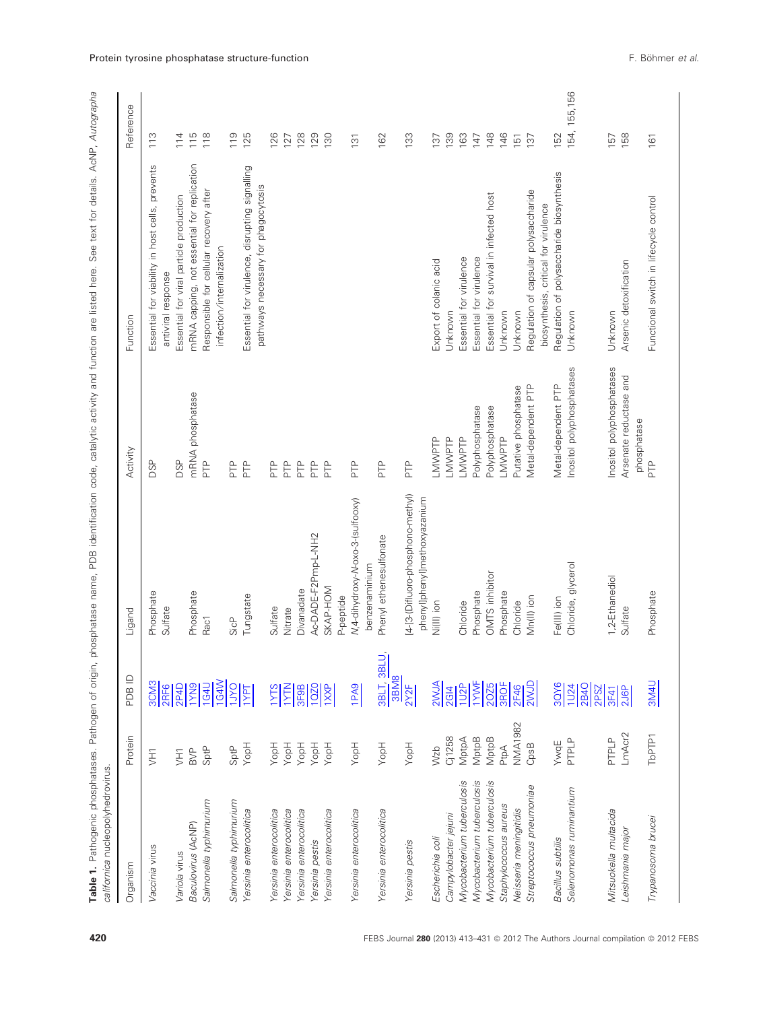| ā<br>j<br>j<br>į<br>Í<br>į                                                                              |                                                     |
|---------------------------------------------------------------------------------------------------------|-----------------------------------------------------|
| $\mathsf{C}$                                                                                            |                                                     |
| ì<br>ì<br>İ<br>l                                                                                        |                                                     |
| j<br>ς<br>Σ<br>١                                                                                        |                                                     |
| ׇ֚֓֡<br>ı                                                                                               |                                                     |
| I<br>j                                                                                                  |                                                     |
| į<br>I<br>֧֦֧֢ׅ֧֧֚֚֚֚֚֚֚֚֚֚֚֚֚֚֚֚֚֚֚֚֚֚֬֝֝                                                              |                                                     |
|                                                                                                         |                                                     |
| Ì<br>ì                                                                                                  |                                                     |
| i<br>١<br>ţ                                                                                             |                                                     |
| ś<br>$\mathfrak{g}$                                                                                     |                                                     |
| j<br>$\frac{1}{2}$<br>í<br>l                                                                            |                                                     |
| l<br>$\frac{1}{1}$<br>j<br>Í<br>d<br>١<br>$\overline{)}$<br>ś                                           |                                                     |
| Í<br>ì<br>Ï<br>֖֖֖֖֖֖֪ׅ֖֚֚֚֚֚֚֚֚֚֚֚֚֚֚֚֚֚֚֚֬֝֝֝֝<br>i                                                   |                                                     |
| I<br>Í<br>S                                                                                             |                                                     |
| こくく<br>l<br>١<br>j<br>᠈<br>i<br>ī<br>Ś<br>l                                                             |                                                     |
| SASP.<br>İ<br>.<br>.<br>.<br>$\vec{\epsilon}$<br>s<br>S<br>J<br>5<br>$\overline{a}$<br>١<br>İ<br>í<br>ì | į<br>ziri)<br>i<br>ł                                |
| enic<br>–<br>ļ<br>j<br>I<br>$\overline{ }$                                                              | ś<br>Í<br>Ż<br>Ì<br>١<br>ł<br>j<br>l                |
| j<br>$\frac{1}{2}$<br>Í                                                                                 | 5<br>j<br>ł<br>١<br>$\frac{5}{2}$                   |
| i<br>alole<br>ı                                                                                         | י<br>יימו<br>¢<br>ì<br>$\frac{1}{3}$<br>t<br>۱<br>Ó |

| Organism                   | Protein            | PDB ID                                        | Ligand                                                           | Activity                              | Function                                                              | Reference        |
|----------------------------|--------------------|-----------------------------------------------|------------------------------------------------------------------|---------------------------------------|-----------------------------------------------------------------------|------------------|
| Vaccinia virus             | THV                | <b>SCM3</b><br>2RF6                           | Phosphate<br>Sulfate                                             | <b>DSP</b>                            | Essential for viability in host cells, prevents<br>antiviral response | 113              |
| Variola virus              | VH <sub>1</sub>    | 2P4D                                          |                                                                  | <b>DSP</b>                            | Essential for viral particle production                               | 114              |
| Baculovirus (AcNP)         | BVP                | <b>GNAI</b>                                   | Phosphate                                                        | mRNA phosphatase                      | mRNA capping, not essential for replication                           | 115              |
| Salmonella typhimurium     | SptP               | 1G4W<br><b>IG4U</b>                           | Rac1                                                             | È                                     | Responsible for cellular recovery after<br>infection/internalization  | 118              |
| Salmonella typhimurium     | SptP               | $\frac{130}{11}$                              | SicP                                                             | $\frac{P}{T}$                         |                                                                       | 119              |
| Yersinia enterocolitica    | YopH               |                                               | Tungstate                                                        | PTP                                   | Essential for virulence, disrupting signalling                        | 125              |
|                            |                    |                                               |                                                                  |                                       | pathways necessary for phagocytosis                                   |                  |
| Yersinia enterocolitica    | <b>YopH</b>        | <b>IYTS</b>                                   | Sulfate                                                          | PTP                                   |                                                                       | 126              |
| Yersinia enterocolitica    | <b>Hook</b>        | <b>IE</b>                                     | Nitrate                                                          | PTP                                   |                                                                       | 127              |
| Yersinia enterocolitica    | YopH               | 3F9B                                          | Divanadate                                                       | PTP                                   |                                                                       | 128              |
| Yersinia pestis            | YopH               |                                               | Ac-DADE-F2Pmp-L-NH2                                              | PTP                                   |                                                                       | 129              |
| Yersinia enterocolitica    | Hdoy               | $\frac{1020}{100}$                            | SKAP-HOM                                                         | PTP                                   |                                                                       | 130              |
|                            |                    |                                               | P-peptide                                                        |                                       |                                                                       |                  |
| Yersinia enterocolitica    | YopH               | 1PA9                                          | N,4-dihydroxy-N-oxo-3-(sulfooxy)<br>benzenaminium                | PTP                                   |                                                                       | $\overline{131}$ |
| Yersinia enterocolitica    | YopH               | ⊃ૅ<br><b>3BLT, 3BL</b><br>$\frac{38Mg}{2Y^2}$ | Phenyl ethenesulfonate                                           | PTP                                   |                                                                       | 162              |
|                            |                    |                                               |                                                                  | PTP                                   |                                                                       |                  |
| Yersinia pestis            | YopH               |                                               | 4-[3-(Difluoro-phosphono-methyl)<br>phenyl]phenyl]methoxyazanium |                                       |                                                                       | 133              |
| Escherichia coli           | Wz <sub>b</sub>    | <b>ALVV2</b>                                  | Nilli) ion                                                       | LMWPTP                                | Export of colanic acid                                                | 137              |
| Campylobacter jejuni       | Cj1258             |                                               |                                                                  | LMWPTP                                | Unknown                                                               | 139              |
| Mycobacterium tuberculosis | MptpA              | $\frac{294}{296}$                             | Chloride                                                         | LMWPTP                                | Essential for virulence                                               | 163              |
| Mycobacterium tuberculosis | MptpB              | $\overline{\text{NW}}$                        | Phosphate                                                        | Polyphosphatase                       | Essential for virulence                                               | 147              |
| Mycobacterium tuberculosis | MptpB              | 2025                                          | OMTS inhibitor                                                   | Polyphosphatase                       | Essential for survival in infected host                               | 148              |
| Staphylococcus aureus      | PtpA               | <b>3ROF</b>                                   | Phosphate                                                        | LMWPTP                                | Unknown                                                               | 146              |
| Neisseria meningitidis     | <b>NMA1982</b>     | 2F46<br>2WJD                                  | Chloride                                                         | Putative phosphatase                  | Unknown                                                               | $\overline{151}$ |
| Streptococcus pneumoniae   | CpsB               |                                               | Mn(II) ion                                                       | Metal-dependent PTP                   | Regulation of capsular polysaccharide                                 | 137              |
|                            |                    |                                               |                                                                  |                                       | biosynthesis, critical for virulence                                  |                  |
| Bacillus subtilis          | YwqE               | 3QY6                                          | Fe(III) ion                                                      | Metal-dependent PTP                   | Regulation of polysaccharide biosynthesis                             | 152              |
| Selenomonas ruminantium    | PTPLP              | 2B40<br>2PSZ<br>1024                          | Chloride, glycerol                                               | nositol polyphosphatases              | Unknown                                                               | 155,156<br>154,  |
| Mitsuokella multacida      | PTPLP              | 3F41<br>2J6P                                  | 1,2-Ethanediol                                                   | Inositol polyphosphatases             | Unknown                                                               | 157              |
| Leishmania major           | LmAcr <sub>2</sub> |                                               | Sulfate                                                          | Arsenate reductase and<br>phosphatase | Arsenic detoxification                                                | 158              |
| Trypanosoma brucei         | TbPTP <sub>1</sub> | 3M4U                                          | Phosphate                                                        | PTP                                   | Functional switch in lifecycle control                                | 161              |
|                            |                    |                                               |                                                                  |                                       |                                                                       |                  |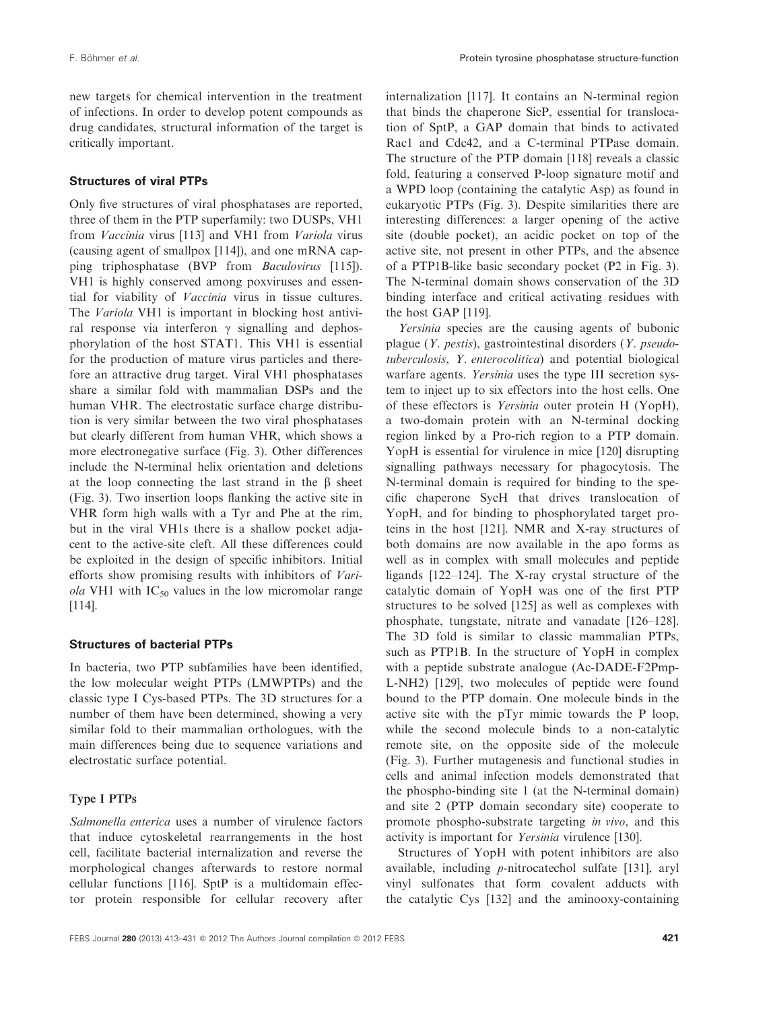new targets for chemical intervention in the treatment of infections. In order to develop potent compounds as drug candidates, structural information of the target is critically important.

#### Structures of viral PTPs

Only five structures of viral phosphatases are reported, three of them in the PTP superfamily: two DUSPs, VH1 from Vaccinia virus [113] and VH1 from Variola virus (causing agent of smallpox [114]), and one mRNA capping triphosphatase (BVP from Baculovirus [115]). VH1 is highly conserved among poxviruses and essential for viability of Vaccinia virus in tissue cultures. The Variola VH1 is important in blocking host antiviral response via interferon  $\gamma$  signalling and dephosphorylation of the host STAT1. This VH1 is essential for the production of mature virus particles and therefore an attractive drug target. Viral VH1 phosphatases share a similar fold with mammalian DSPs and the human VHR. The electrostatic surface charge distribution is very similar between the two viral phosphatases but clearly different from human VHR, which shows a more electronegative surface (Fig. 3). Other differences include the N-terminal helix orientation and deletions at the loop connecting the last strand in the  $\beta$  sheet (Fig. 3). Two insertion loops flanking the active site in VHR form high walls with a Tyr and Phe at the rim, but in the viral VH1s there is a shallow pocket adjacent to the active-site cleft. All these differences could be exploited in the design of specific inhibitors. Initial efforts show promising results with inhibitors of Vari*ola* VH1 with  $IC_{50}$  values in the low micromolar range [114].

#### Structures of bacterial PTPs

In bacteria, two PTP subfamilies have been identified, the low molecular weight PTPs (LMWPTPs) and the classic type I Cys-based PTPs. The 3D structures for a number of them have been determined, showing a very similar fold to their mammalian orthologues, with the main differences being due to sequence variations and electrostatic surface potential.

## Type I PTPs

Salmonella enterica uses a number of virulence factors that induce cytoskeletal rearrangements in the host cell, facilitate bacterial internalization and reverse the morphological changes afterwards to restore normal cellular functions [116]. SptP is a multidomain effector protein responsible for cellular recovery after

internalization [117]. It contains an N-terminal region that binds the chaperone SicP, essential for translocation of SptP, a GAP domain that binds to activated Rac1 and Cdc42, and a C-terminal PTPase domain. The structure of the PTP domain [118] reveals a classic fold, featuring a conserved P-loop signature motif and a WPD loop (containing the catalytic Asp) as found in eukaryotic PTPs (Fig. 3). Despite similarities there are interesting differences: a larger opening of the active site (double pocket), an acidic pocket on top of the active site, not present in other PTPs, and the absence of a PTP1B-like basic secondary pocket (P2 in Fig. 3). The N-terminal domain shows conservation of the 3D binding interface and critical activating residues with the host GAP [119].

Yersinia species are the causing agents of bubonic plague (Y. pestis), gastrointestinal disorders (Y. pseudotuberculosis, Y. enterocolitica) and potential biological warfare agents. Yersinia uses the type III secretion system to inject up to six effectors into the host cells. One of these effectors is Yersinia outer protein H (YopH), a two-domain protein with an N-terminal docking region linked by a Pro-rich region to a PTP domain. YopH is essential for virulence in mice [120] disrupting signalling pathways necessary for phagocytosis. The N-terminal domain is required for binding to the specific chaperone SycH that drives translocation of YopH, and for binding to phosphorylated target proteins in the host [121]. NMR and X-ray structures of both domains are now available in the apo forms as well as in complex with small molecules and peptide ligands [122–124]. The X-ray crystal structure of the catalytic domain of YopH was one of the first PTP structures to be solved [125] as well as complexes with phosphate, tungstate, nitrate and vanadate [126–128]. The 3D fold is similar to classic mammalian PTPs, such as PTP1B. In the structure of YopH in complex with a peptide substrate analogue (Ac-DADE-F2Pmp-L-NH2) [129], two molecules of peptide were found bound to the PTP domain. One molecule binds in the active site with the pTyr mimic towards the P loop, while the second molecule binds to a non-catalytic remote site, on the opposite side of the molecule (Fig. 3). Further mutagenesis and functional studies in cells and animal infection models demonstrated that the phospho-binding site 1 (at the N-terminal domain) and site 2 (PTP domain secondary site) cooperate to promote phospho-substrate targeting in vivo, and this activity is important for Yersinia virulence [130].

Structures of YopH with potent inhibitors are also available, including p-nitrocatechol sulfate [131], aryl vinyl sulfonates that form covalent adducts with the catalytic Cys [132] and the aminooxy-containing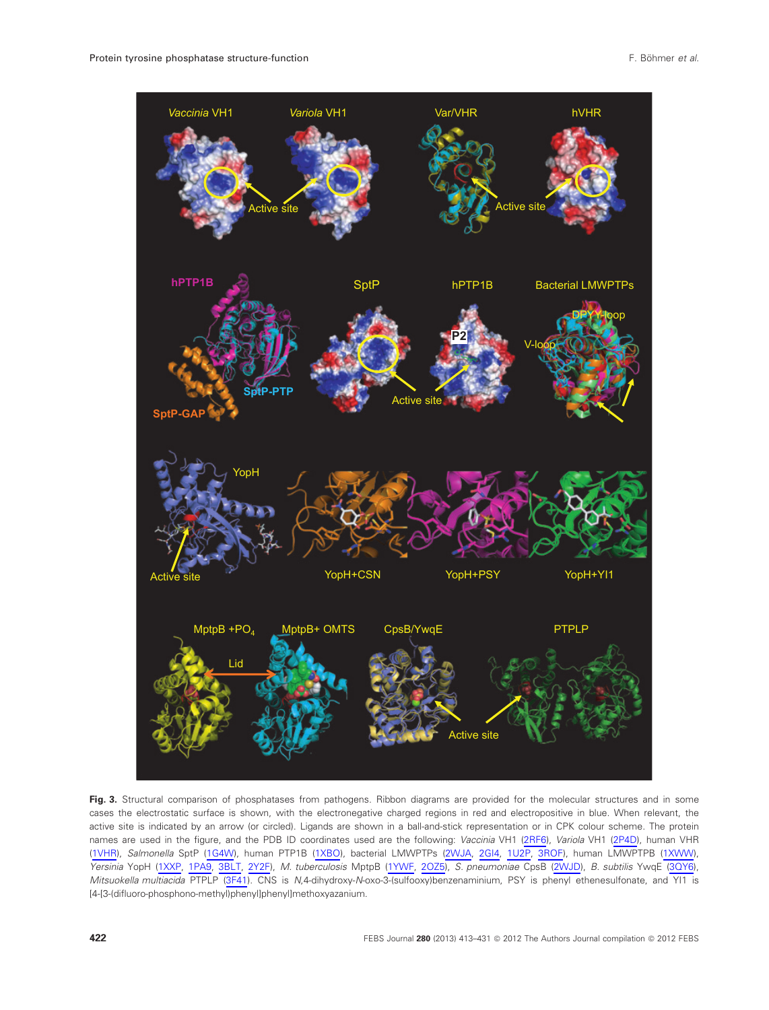

Fig. 3. Structural comparison of phosphatases from pathogens. Ribbon diagrams are provided for the molecular structures and in some cases the electrostatic surface is shown, with the electronegative charged regions in red and electropositive in blue. When relevant, the active site is indicated by an arrow (or circled). Ligands are shown in a ball-and-stick representation or in CPK colour scheme. The protein names are used in the figure, and the PDB ID coordinates used are the following: Vaccinia VH1 ([2RF6](http://www.rcsb.org/pdb/search/structidSearch.do?structureId=2RF6)), Variola VH1 ([2P4D](http://www.rcsb.org/pdb/search/structidSearch.do?structureId=2P4D)), human VHR [\(1VHR](http://www.rcsb.org/pdb/search/structidSearch.do?structureId=1VHR)), Salmonella SptP ([1G4W](http://www.rcsb.org/pdb/search/structidSearch.do?structureId=1G4W)), human PTP1B [\(1XBO\)](http://www.rcsb.org/pdb/search/structidSearch.do?structureId=1XBO), bacterial LMWPTPs ([2WJA](http://www.rcsb.org/pdb/search/structidSearch.do?structureId=2WJA), [2GI4,](http://www.rcsb.org/pdb/search/structidSearch.do?structureId=2GI4) [1U2P](http://www.rcsb.org/pdb/search/structidSearch.do?structureId=1U2P), [3ROF](http://www.rcsb.org/pdb/search/structidSearch.do?structureId=3ROF)), human LMWPTPB ([1XWW](http://www.rcsb.org/pdb/search/structidSearch.do?structureId=1XWW)), Yersinia YopH ([1XXP](http://www.rcsb.org/pdb/search/structidSearch.do?structureId=1XXP), [1PA9,](http://www.rcsb.org/pdb/search/structidSearch.do?structureId=1PA9) [3BLT,](http://www.rcsb.org/pdb/search/structidSearch.do?structureId=3BLT) [2Y2F](http://www.rcsb.org/pdb/search/structidSearch.do?structureId=2Y2F)), M. tuberculosis MptpB [\(1YWF,](http://www.rcsb.org/pdb/search/structidSearch.do?structureId=1YWF) [2OZ5\)](http://www.rcsb.org/pdb/search/structidSearch.do?structureId=2OZ5), S. pneumoniae CpsB ([2WJD\)](http://www.rcsb.org/pdb/search/structidSearch.do?structureId=2WJD), B. subtilis YwqE ([3QY6](http://www.rcsb.org/pdb/search/structidSearch.do?structureId=3QY6)), Mitsuokella multiacida PTPLP [\(3F41\)](http://www.rcsb.org/pdb/search/structidSearch.do?structureId=3F41). CNS is N,4-dihydroxy-N-oxo-3-(sulfooxy)benzenaminium, PSY is phenyl ethenesulfonate, and YI1 is [4-[3-(difluoro-phosphono-methyl)phenyl]phenyl]methoxyazanium.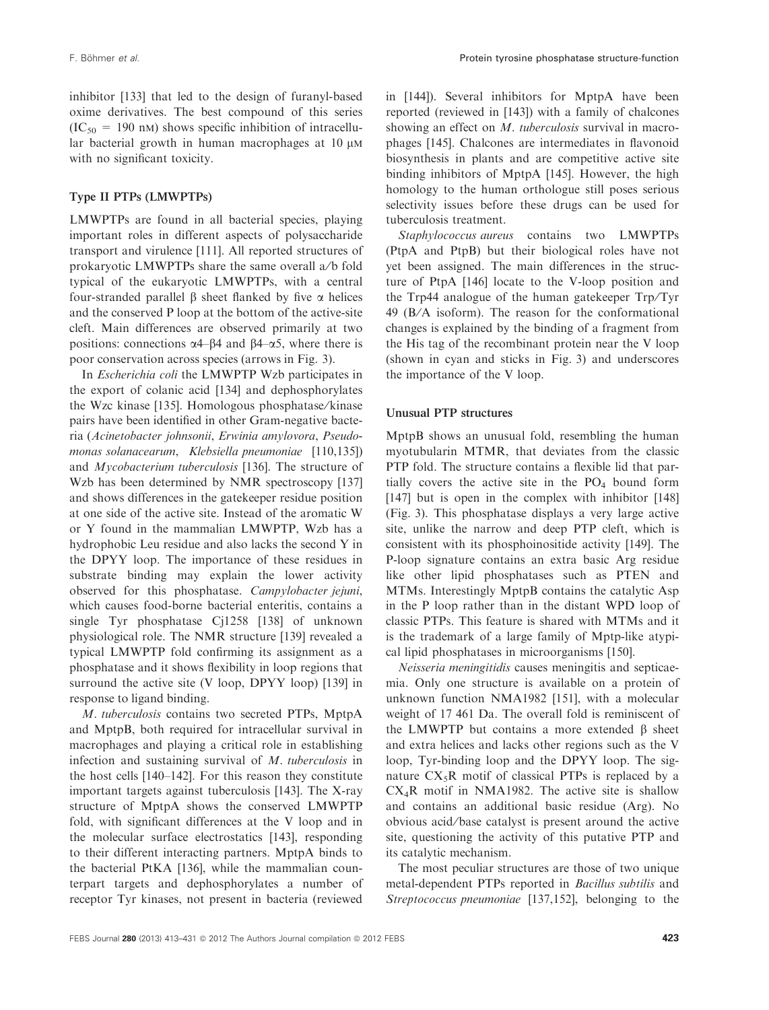inhibitor [133] that led to the design of furanyl-based oxime derivatives. The best compound of this series  $(IC<sub>50</sub> = 190$  nm) shows specific inhibition of intracellular bacterial growth in human macrophages at  $10 \mu$ M with no significant toxicity.

#### Type II PTPs (LMWPTPs)

LMWPTPs are found in all bacterial species, playing important roles in different aspects of polysaccharide transport and virulence [111]. All reported structures of prokaryotic LMWPTPs share the same overall a/b fold typical of the eukaryotic LMWPTPs, with a central four-stranded parallel  $\beta$  sheet flanked by five  $\alpha$  helices and the conserved P loop at the bottom of the active-site cleft. Main differences are observed primarily at two positions: connections  $\alpha$ 4– $\beta$ 4 and  $\beta$ 4– $\alpha$ 5, where there is poor conservation across species (arrows in Fig. 3).

In Escherichia coli the LMWPTP Wzb participates in the export of colanic acid [134] and dephosphorylates the Wzc kinase [135]. Homologous phosphatase/kinase pairs have been identified in other Gram-negative bacteria (Acinetobacter johnsonii, Erwinia amylovora, Pseudomonas solanacearum, Klebsiella pneumoniae [110,135]) and Mycobacterium tuberculosis [136]. The structure of Wzb has been determined by NMR spectroscopy [137] and shows differences in the gatekeeper residue position at one side of the active site. Instead of the aromatic W or Y found in the mammalian LMWPTP, Wzb has a hydrophobic Leu residue and also lacks the second Y in the DPYY loop. The importance of these residues in substrate binding may explain the lower activity observed for this phosphatase. Campylobacter jejuni, which causes food-borne bacterial enteritis, contains a single Tyr phosphatase Cj1258 [138] of unknown physiological role. The NMR structure [139] revealed a typical LMWPTP fold confirming its assignment as a phosphatase and it shows flexibility in loop regions that surround the active site (V loop, DPYY loop) [139] in response to ligand binding.

M. tuberculosis contains two secreted PTPs, MptpA and MptpB, both required for intracellular survival in macrophages and playing a critical role in establishing infection and sustaining survival of M. tuberculosis in the host cells [140–142]. For this reason they constitute important targets against tuberculosis [143]. The X-ray structure of MptpA shows the conserved LMWPTP fold, with significant differences at the V loop and in the molecular surface electrostatics [143], responding to their different interacting partners. MptpA binds to the bacterial PtKA [136], while the mammalian counterpart targets and dephosphorylates a number of receptor Tyr kinases, not present in bacteria (reviewed

in [144]). Several inhibitors for MptpA have been reported (reviewed in [143]) with a family of chalcones showing an effect on M. tuberculosis survival in macrophages [145]. Chalcones are intermediates in flavonoid biosynthesis in plants and are competitive active site binding inhibitors of MptpA [145]. However, the high homology to the human orthologue still poses serious selectivity issues before these drugs can be used for tuberculosis treatment.

Staphylococcus aureus contains two LMWPTPs (PtpA and PtpB) but their biological roles have not yet been assigned. The main differences in the structure of PtpA [146] locate to the V-loop position and the Trp44 analogue of the human gatekeeper Trp/Tyr 49 (B⁄A isoform). The reason for the conformational changes is explained by the binding of a fragment from the His tag of the recombinant protein near the V loop (shown in cyan and sticks in Fig. 3) and underscores the importance of the V loop.

### Unusual PTP structures

MptpB shows an unusual fold, resembling the human myotubularin MTMR, that deviates from the classic PTP fold. The structure contains a flexible lid that partially covers the active site in the  $PO<sub>4</sub>$  bound form [147] but is open in the complex with inhibitor [148] (Fig. 3). This phosphatase displays a very large active site, unlike the narrow and deep PTP cleft, which is consistent with its phosphoinositide activity [149]. The P-loop signature contains an extra basic Arg residue like other lipid phosphatases such as PTEN and MTMs. Interestingly MptpB contains the catalytic Asp in the P loop rather than in the distant WPD loop of classic PTPs. This feature is shared with MTMs and it is the trademark of a large family of Mptp-like atypical lipid phosphatases in microorganisms [150].

Neisseria meningitidis causes meningitis and septicaemia. Only one structure is available on a protein of unknown function NMA1982 [151], with a molecular weight of 17 461 Da. The overall fold is reminiscent of the LMWPTP but contains a more extended  $\beta$  sheet and extra helices and lacks other regions such as the V loop, Tyr-binding loop and the DPYY loop. The signature  $CX_5R$  motif of classical PTPs is replaced by a  $CX<sub>4</sub>R$  motif in NMA1982. The active site is shallow and contains an additional basic residue (Arg). No obvious acid ⁄ base catalyst is present around the active site, questioning the activity of this putative PTP and its catalytic mechanism.

The most peculiar structures are those of two unique metal-dependent PTPs reported in Bacillus subtilis and Streptococcus pneumoniae [137,152], belonging to the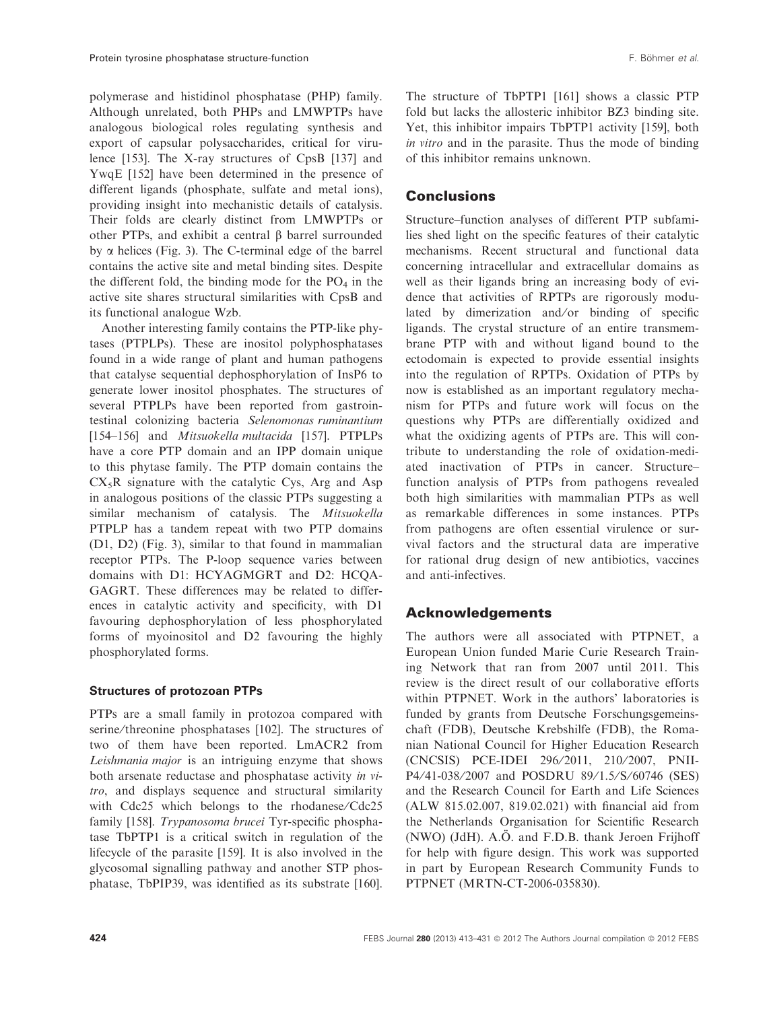polymerase and histidinol phosphatase (PHP) family. Although unrelated, both PHPs and LMWPTPs have analogous biological roles regulating synthesis and export of capsular polysaccharides, critical for virulence [153]. The X-ray structures of CpsB [137] and YwqE [152] have been determined in the presence of different ligands (phosphate, sulfate and metal ions), providing insight into mechanistic details of catalysis. Their folds are clearly distinct from LMWPTPs or other PTPs, and exhibit a central  $\beta$  barrel surrounded by  $\alpha$  helices (Fig. 3). The C-terminal edge of the barrel contains the active site and metal binding sites. Despite the different fold, the binding mode for the  $PO<sub>4</sub>$  in the active site shares structural similarities with CpsB and its functional analogue Wzb.

Another interesting family contains the PTP-like phytases (PTPLPs). These are inositol polyphosphatases found in a wide range of plant and human pathogens that catalyse sequential dephosphorylation of InsP6 to generate lower inositol phosphates. The structures of several PTPLPs have been reported from gastrointestinal colonizing bacteria Selenomonas ruminantium [154–156] and *Mitsuokella multacida* [157]. PTPLPs have a core PTP domain and an IPP domain unique to this phytase family. The PTP domain contains the  $CX<sub>5</sub>R$  signature with the catalytic Cys, Arg and Asp in analogous positions of the classic PTPs suggesting a similar mechanism of catalysis. The Mitsuokella PTPLP has a tandem repeat with two PTP domains (D1, D2) (Fig. 3), similar to that found in mammalian receptor PTPs. The P-loop sequence varies between domains with D1: HCYAGMGRT and D2: HCQA-GAGRT. These differences may be related to differences in catalytic activity and specificity, with D1 favouring dephosphorylation of less phosphorylated forms of myoinositol and D2 favouring the highly phosphorylated forms.

## Structures of protozoan PTPs

PTPs are a small family in protozoa compared with serine/threonine phosphatases [102]. The structures of two of them have been reported. LmACR2 from Leishmania major is an intriguing enzyme that shows both arsenate reductase and phosphatase activity in vitro, and displays sequence and structural similarity with Cdc25 which belongs to the rhodanese/Cdc25 family [158]. Trypanosoma brucei Tyr-specific phosphatase TbPTP1 is a critical switch in regulation of the lifecycle of the parasite [159]. It is also involved in the glycosomal signalling pathway and another STP phosphatase, TbPIP39, was identified as its substrate [160].

The structure of TbPTP1 [161] shows a classic PTP fold but lacks the allosteric inhibitor BZ3 binding site. Yet, this inhibitor impairs TbPTP1 activity [159], both in vitro and in the parasite. Thus the mode of binding of this inhibitor remains unknown.

# **Conclusions**

Structure–function analyses of different PTP subfamilies shed light on the specific features of their catalytic mechanisms. Recent structural and functional data concerning intracellular and extracellular domains as well as their ligands bring an increasing body of evidence that activities of RPTPs are rigorously modulated by dimerization and/or binding of specific ligands. The crystal structure of an entire transmembrane PTP with and without ligand bound to the ectodomain is expected to provide essential insights into the regulation of RPTPs. Oxidation of PTPs by now is established as an important regulatory mechanism for PTPs and future work will focus on the questions why PTPs are differentially oxidized and what the oxidizing agents of PTPs are. This will contribute to understanding the role of oxidation-mediated inactivation of PTPs in cancer. Structure– function analysis of PTPs from pathogens revealed both high similarities with mammalian PTPs as well as remarkable differences in some instances. PTPs from pathogens are often essential virulence or survival factors and the structural data are imperative for rational drug design of new antibiotics, vaccines and anti-infectives.

# Acknowledgements

The authors were all associated with PTPNET, a European Union funded Marie Curie Research Training Network that ran from 2007 until 2011. This review is the direct result of our collaborative efforts within PTPNET. Work in the authors' laboratories is funded by grants from Deutsche Forschungsgemeinschaft (FDB), Deutsche Krebshilfe (FDB), the Romanian National Council for Higher Education Research (CNCSIS) PCE-IDEI 296 ⁄ 2011, 210 ⁄ 2007, PNII-P4/41-038/2007 and POSDRU 89/1.5/S/60746 (SES) and the Research Council for Earth and Life Sciences (ALW 815.02.007, 819.02.021) with financial aid from the Netherlands Organisation for Scientific Research (NWO) (JdH). A.O. and F.D.B. thank Jeroen Frijhoff for help with figure design. This work was supported in part by European Research Community Funds to PTPNET (MRTN-CT-2006-035830).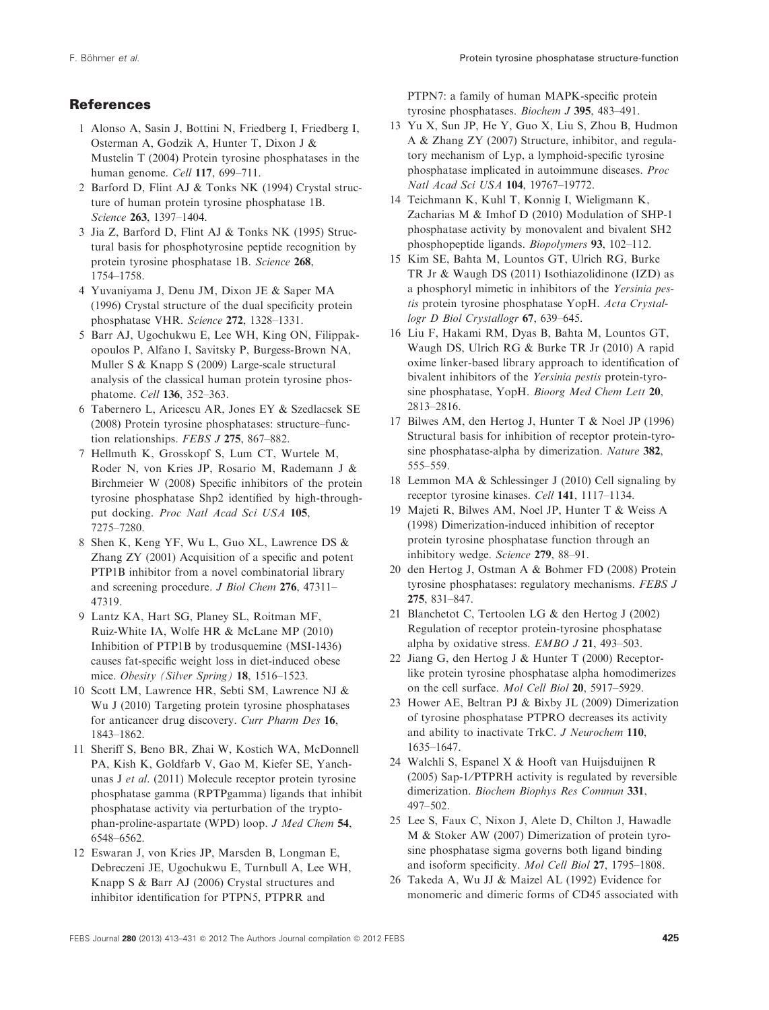## References

- 1 Alonso A, Sasin J, Bottini N, Friedberg I, Friedberg I, Osterman A, Godzik A, Hunter T, Dixon J & Mustelin T (2004) Protein tyrosine phosphatases in the human genome. Cell 117, 699–711.
- 2 Barford D, Flint AJ & Tonks NK (1994) Crystal structure of human protein tyrosine phosphatase 1B. Science 263, 1397–1404.
- 3 Jia Z, Barford D, Flint AJ & Tonks NK (1995) Structural basis for phosphotyrosine peptide recognition by protein tyrosine phosphatase 1B. Science 268, 1754–1758.
- 4 Yuvaniyama J, Denu JM, Dixon JE & Saper MA (1996) Crystal structure of the dual specificity protein phosphatase VHR. Science 272, 1328–1331.
- 5 Barr AJ, Ugochukwu E, Lee WH, King ON, Filippakopoulos P, Alfano I, Savitsky P, Burgess-Brown NA, Muller S & Knapp S (2009) Large-scale structural analysis of the classical human protein tyrosine phosphatome. Cell 136, 352–363.
- 6 Tabernero L, Aricescu AR, Jones EY & Szedlacsek SE (2008) Protein tyrosine phosphatases: structure–function relationships. FEBS J 275, 867–882.
- 7 Hellmuth K, Grosskopf S, Lum CT, Wurtele M, Roder N, von Kries JP, Rosario M, Rademann J & Birchmeier W (2008) Specific inhibitors of the protein tyrosine phosphatase Shp2 identified by high-throughput docking. Proc Natl Acad Sci USA 105, 7275–7280.
- 8 Shen K, Keng YF, Wu L, Guo XL, Lawrence DS & Zhang ZY (2001) Acquisition of a specific and potent PTP1B inhibitor from a novel combinatorial library and screening procedure. J Biol Chem 276, 47311– 47319.
- 9 Lantz KA, Hart SG, Planey SL, Roitman MF, Ruiz-White IA, Wolfe HR & McLane MP (2010) Inhibition of PTP1B by trodusquemine (MSI-1436) causes fat-specific weight loss in diet-induced obese mice. Obesity (Silver Spring) 18, 1516–1523.
- 10 Scott LM, Lawrence HR, Sebti SM, Lawrence NJ & Wu J (2010) Targeting protein tyrosine phosphatases for anticancer drug discovery. Curr Pharm Des 16, 1843–1862.
- 11 Sheriff S, Beno BR, Zhai W, Kostich WA, McDonnell PA, Kish K, Goldfarb V, Gao M, Kiefer SE, Yanchunas J et al. (2011) Molecule receptor protein tyrosine phosphatase gamma (RPTPgamma) ligands that inhibit phosphatase activity via perturbation of the tryptophan-proline-aspartate (WPD) loop. J Med Chem 54, 6548–6562.
- 12 Eswaran J, von Kries JP, Marsden B, Longman E, Debreczeni JE, Ugochukwu E, Turnbull A, Lee WH, Knapp S & Barr AJ (2006) Crystal structures and inhibitor identification for PTPN5, PTPRR and

PTPN7: a family of human MAPK-specific protein tyrosine phosphatases. Biochem J 395, 483–491.

- 13 Yu X, Sun JP, He Y, Guo X, Liu S, Zhou B, Hudmon A & Zhang ZY (2007) Structure, inhibitor, and regulatory mechanism of Lyp, a lymphoid-specific tyrosine phosphatase implicated in autoimmune diseases. Proc Natl Acad Sci USA 104, 19767–19772.
- 14 Teichmann K, Kuhl T, Konnig I, Wieligmann K, Zacharias M & Imhof D (2010) Modulation of SHP-1 phosphatase activity by monovalent and bivalent SH2 phosphopeptide ligands. Biopolymers 93, 102–112.
- 15 Kim SE, Bahta M, Lountos GT, Ulrich RG, Burke TR Jr & Waugh DS (2011) Isothiazolidinone (IZD) as a phosphoryl mimetic in inhibitors of the Yersinia pestis protein tyrosine phosphatase YopH. Acta Crystallogr D Biol Crystallogr 67, 639-645.
- 16 Liu F, Hakami RM, Dyas B, Bahta M, Lountos GT, Waugh DS, Ulrich RG & Burke TR Jr (2010) A rapid oxime linker-based library approach to identification of bivalent inhibitors of the Yersinia pestis protein-tyrosine phosphatase, YopH. Bioorg Med Chem Lett 20, 2813–2816.
- 17 Bilwes AM, den Hertog J, Hunter T & Noel JP (1996) Structural basis for inhibition of receptor protein-tyrosine phosphatase-alpha by dimerization. Nature 382, 555–559.
- 18 Lemmon MA & Schlessinger J (2010) Cell signaling by receptor tyrosine kinases. Cell 141, 1117–1134.
- 19 Majeti R, Bilwes AM, Noel JP, Hunter T & Weiss A (1998) Dimerization-induced inhibition of receptor protein tyrosine phosphatase function through an inhibitory wedge. Science 279, 88-91.
- 20 den Hertog J, Ostman A & Bohmer FD (2008) Protein tyrosine phosphatases: regulatory mechanisms. FEBS J 275, 831–847.
- 21 Blanchetot C, Tertoolen LG & den Hertog J (2002) Regulation of receptor protein-tyrosine phosphatase alpha by oxidative stress. EMBO J 21, 493–503.
- 22 Jiang G, den Hertog J & Hunter T (2000) Receptorlike protein tyrosine phosphatase alpha homodimerizes on the cell surface. Mol Cell Biol 20, 5917–5929.
- 23 Hower AE, Beltran PJ & Bixby JL (2009) Dimerization of tyrosine phosphatase PTPRO decreases its activity and ability to inactivate TrkC. J Neurochem 110, 1635–1647.
- 24 Walchli S, Espanel X & Hooft van Huijsduijnen R (2005) Sap-1/PTPRH activity is regulated by reversible dimerization. Biochem Biophys Res Commun 331, 497–502.
- 25 Lee S, Faux C, Nixon J, Alete D, Chilton J, Hawadle M & Stoker AW (2007) Dimerization of protein tyrosine phosphatase sigma governs both ligand binding and isoform specificity. Mol Cell Biol 27, 1795–1808.
- 26 Takeda A, Wu JJ & Maizel AL (1992) Evidence for monomeric and dimeric forms of CD45 associated with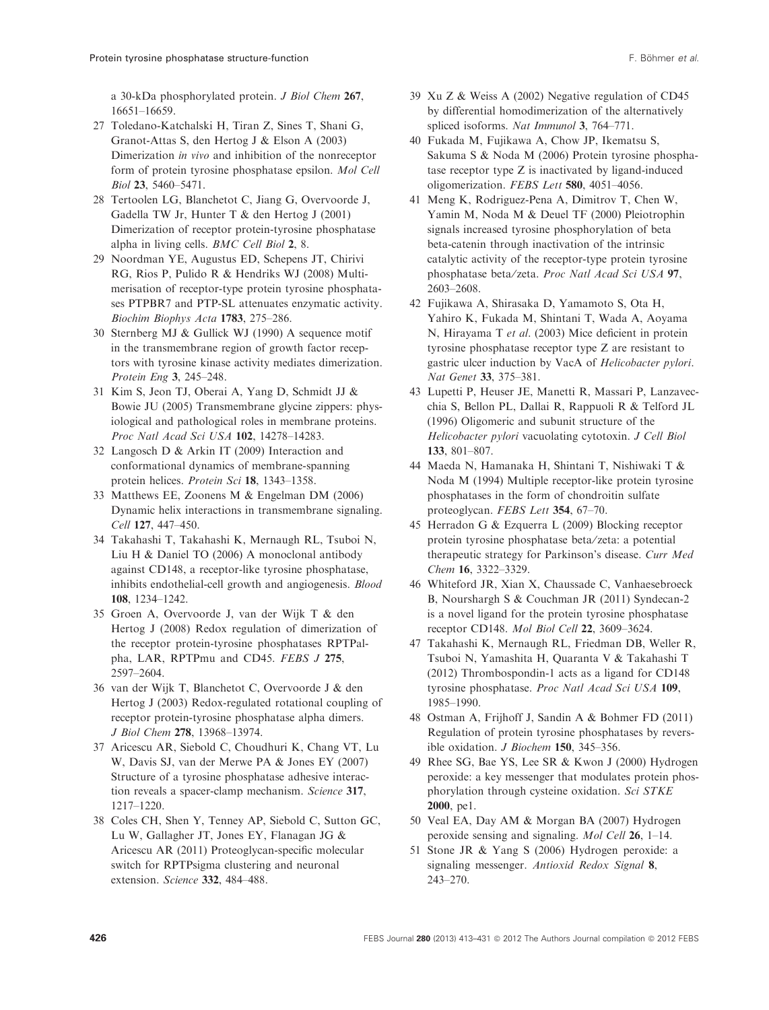a 30-kDa phosphorylated protein. J Biol Chem 267, 16651–16659.

- 27 Toledano-Katchalski H, Tiran Z, Sines T, Shani G, Granot-Attas S, den Hertog J & Elson A (2003) Dimerization in vivo and inhibition of the nonreceptor form of protein tyrosine phosphatase epsilon. Mol Cell Biol 23, 5460–5471.
- 28 Tertoolen LG, Blanchetot C, Jiang G, Overvoorde J, Gadella TW Jr, Hunter T & den Hertog J (2001) Dimerization of receptor protein-tyrosine phosphatase alpha in living cells. BMC Cell Biol 2, 8.
- 29 Noordman YE, Augustus ED, Schepens JT, Chirivi RG, Rios P, Pulido R & Hendriks WJ (2008) Multimerisation of receptor-type protein tyrosine phosphatases PTPBR7 and PTP-SL attenuates enzymatic activity. Biochim Biophys Acta 1783, 275–286.
- 30 Sternberg MJ & Gullick WJ (1990) A sequence motif in the transmembrane region of growth factor receptors with tyrosine kinase activity mediates dimerization. Protein Eng 3, 245–248.
- 31 Kim S, Jeon TJ, Oberai A, Yang D, Schmidt JJ & Bowie JU (2005) Transmembrane glycine zippers: physiological and pathological roles in membrane proteins. Proc Natl Acad Sci USA 102, 14278–14283.
- 32 Langosch D & Arkin IT (2009) Interaction and conformational dynamics of membrane-spanning protein helices. Protein Sci 18, 1343–1358.
- 33 Matthews EE, Zoonens M & Engelman DM (2006) Dynamic helix interactions in transmembrane signaling. Cell 127, 447–450.
- 34 Takahashi T, Takahashi K, Mernaugh RL, Tsuboi N, Liu H & Daniel TO (2006) A monoclonal antibody against CD148, a receptor-like tyrosine phosphatase, inhibits endothelial-cell growth and angiogenesis. Blood 108, 1234–1242.
- 35 Groen A, Overvoorde J, van der Wijk T & den Hertog J (2008) Redox regulation of dimerization of the receptor protein-tyrosine phosphatases RPTPalpha, LAR, RPTPmu and CD45. FEBS J 275, 2597–2604.
- 36 van der Wijk T, Blanchetot C, Overvoorde J & den Hertog J (2003) Redox-regulated rotational coupling of receptor protein-tyrosine phosphatase alpha dimers. J Biol Chem 278, 13968–13974.
- 37 Aricescu AR, Siebold C, Choudhuri K, Chang VT, Lu W, Davis SJ, van der Merwe PA & Jones EY (2007) Structure of a tyrosine phosphatase adhesive interaction reveals a spacer-clamp mechanism. Science 317, 1217–1220.
- 38 Coles CH, Shen Y, Tenney AP, Siebold C, Sutton GC, Lu W, Gallagher JT, Jones EY, Flanagan JG & Aricescu AR (2011) Proteoglycan-specific molecular switch for RPTPsigma clustering and neuronal extension. Science 332, 484–488.
- 39 Xu Z & Weiss A (2002) Negative regulation of CD45 by differential homodimerization of the alternatively spliced isoforms. Nat Immunol 3, 764-771.
- 40 Fukada M, Fujikawa A, Chow JP, Ikematsu S, Sakuma S & Noda M (2006) Protein tyrosine phosphatase receptor type Z is inactivated by ligand-induced oligomerization. FEBS Lett 580, 4051–4056.
- 41 Meng K, Rodriguez-Pena A, Dimitrov T, Chen W, Yamin M, Noda M & Deuel TF (2000) Pleiotrophin signals increased tyrosine phosphorylation of beta beta-catenin through inactivation of the intrinsic catalytic activity of the receptor-type protein tyrosine phosphatase beta/zeta. Proc Natl Acad Sci USA 97, 2603–2608.
- 42 Fujikawa A, Shirasaka D, Yamamoto S, Ota H, Yahiro K, Fukada M, Shintani T, Wada A, Aoyama N, Hirayama T et al. (2003) Mice deficient in protein tyrosine phosphatase receptor type Z are resistant to gastric ulcer induction by VacA of Helicobacter pylori. Nat Genet 33, 375–381.
- 43 Lupetti P, Heuser JE, Manetti R, Massari P, Lanzavecchia S, Bellon PL, Dallai R, Rappuoli R & Telford JL (1996) Oligomeric and subunit structure of the Helicobacter pylori vacuolating cytotoxin. J Cell Biol 133, 801–807.
- 44 Maeda N, Hamanaka H, Shintani T, Nishiwaki T & Noda M (1994) Multiple receptor-like protein tyrosine phosphatases in the form of chondroitin sulfate proteoglycan. FEBS Lett 354, 67–70.
- 45 Herradon G & Ezquerra L (2009) Blocking receptor protein tyrosine phosphatase beta/zeta: a potential therapeutic strategy for Parkinson's disease. Curr Med Chem 16, 3322–3329.
- 46 Whiteford JR, Xian X, Chaussade C, Vanhaesebroeck B, Nourshargh S & Couchman JR (2011) Syndecan-2 is a novel ligand for the protein tyrosine phosphatase receptor CD148. Mol Biol Cell 22, 3609–3624.
- 47 Takahashi K, Mernaugh RL, Friedman DB, Weller R, Tsuboi N, Yamashita H, Quaranta V & Takahashi T (2012) Thrombospondin-1 acts as a ligand for CD148 tyrosine phosphatase. Proc Natl Acad Sci USA 109, 1985–1990.
- 48 Ostman A, Frijhoff J, Sandin A & Bohmer FD (2011) Regulation of protein tyrosine phosphatases by reversible oxidation. J Biochem 150, 345–356.
- 49 Rhee SG, Bae YS, Lee SR & Kwon J (2000) Hydrogen peroxide: a key messenger that modulates protein phosphorylation through cysteine oxidation. Sci STKE 2000, pe1.
- 50 Veal EA, Day AM & Morgan BA (2007) Hydrogen peroxide sensing and signaling. Mol Cell 26, 1–14.
- 51 Stone JR & Yang S (2006) Hydrogen peroxide: a signaling messenger. Antioxid Redox Signal 8, 243–270.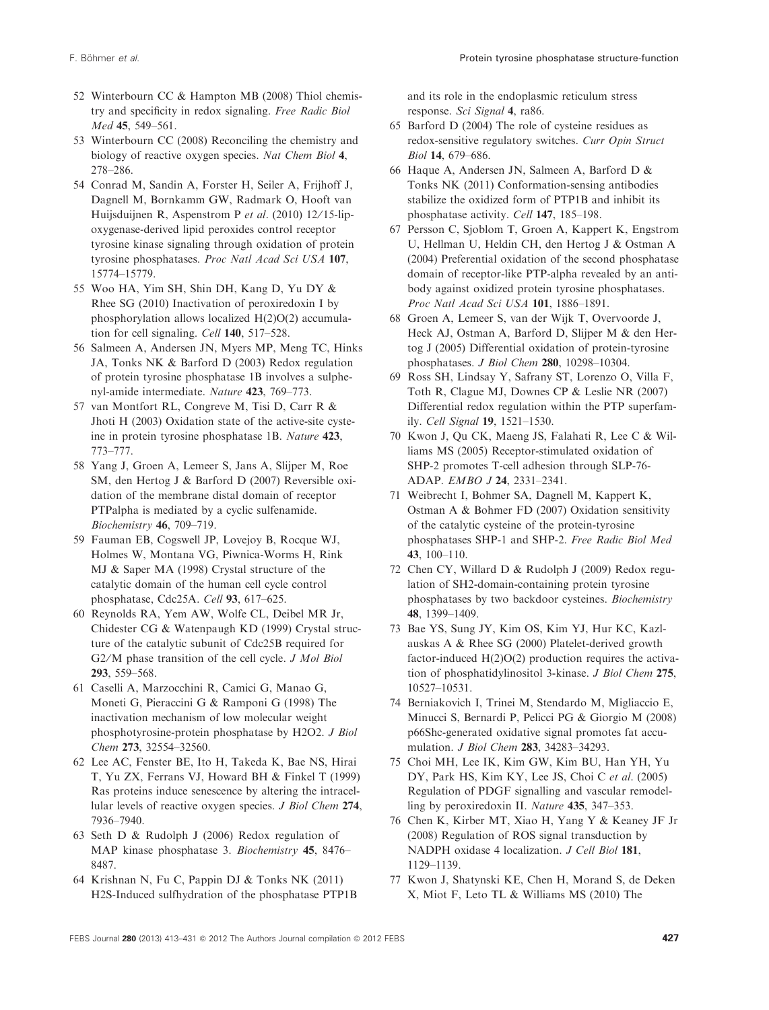- 52 Winterbourn CC & Hampton MB (2008) Thiol chemistry and specificity in redox signaling. Free Radic Biol Med 45, 549–561.
- 53 Winterbourn CC (2008) Reconciling the chemistry and biology of reactive oxygen species. Nat Chem Biol 4, 278–286.
- 54 Conrad M, Sandin A, Forster H, Seiler A, Frijhoff J, Dagnell M, Bornkamm GW, Radmark O, Hooft van Huijsduijnen R, Aspenstrom P et al. (2010) 12/15-lipoxygenase-derived lipid peroxides control receptor tyrosine kinase signaling through oxidation of protein tyrosine phosphatases. Proc Natl Acad Sci USA 107, 15774–15779.
- 55 Woo HA, Yim SH, Shin DH, Kang D, Yu DY & Rhee SG (2010) Inactivation of peroxiredoxin I by phosphorylation allows localized H(2)O(2) accumulation for cell signaling. Cell 140, 517–528.
- 56 Salmeen A, Andersen JN, Myers MP, Meng TC, Hinks JA, Tonks NK & Barford D (2003) Redox regulation of protein tyrosine phosphatase 1B involves a sulphenyl-amide intermediate. Nature 423, 769–773.
- 57 van Montfort RL, Congreve M, Tisi D, Carr R & Jhoti H (2003) Oxidation state of the active-site cysteine in protein tyrosine phosphatase 1B. Nature 423, 773–777.
- 58 Yang J, Groen A, Lemeer S, Jans A, Slijper M, Roe SM, den Hertog J & Barford D (2007) Reversible oxidation of the membrane distal domain of receptor PTPalpha is mediated by a cyclic sulfenamide. Biochemistry 46, 709–719.
- 59 Fauman EB, Cogswell JP, Lovejoy B, Rocque WJ, Holmes W, Montana VG, Piwnica-Worms H, Rink MJ & Saper MA (1998) Crystal structure of the catalytic domain of the human cell cycle control phosphatase, Cdc25A. Cell 93, 617–625.
- 60 Reynolds RA, Yem AW, Wolfe CL, Deibel MR Jr, Chidester CG & Watenpaugh KD (1999) Crystal structure of the catalytic subunit of Cdc25B required for G2/M phase transition of the cell cycle.  $J$  Mol Biol 293, 559–568.
- 61 Caselli A, Marzocchini R, Camici G, Manao G, Moneti G, Pieraccini G & Ramponi G (1998) The inactivation mechanism of low molecular weight phosphotyrosine-protein phosphatase by H2O2. J Biol Chem 273, 32554–32560.
- 62 Lee AC, Fenster BE, Ito H, Takeda K, Bae NS, Hirai T, Yu ZX, Ferrans VJ, Howard BH & Finkel T (1999) Ras proteins induce senescence by altering the intracellular levels of reactive oxygen species. J Biol Chem 274, 7936–7940.
- 63 Seth D & Rudolph J (2006) Redox regulation of MAP kinase phosphatase 3. Biochemistry 45, 8476– 8487.
- 64 Krishnan N, Fu C, Pappin DJ & Tonks NK (2011) H2S-Induced sulfhydration of the phosphatase PTP1B

and its role in the endoplasmic reticulum stress response. Sci Signal 4, ra86.

- 65 Barford D (2004) The role of cysteine residues as redox-sensitive regulatory switches. Curr Opin Struct Biol 14, 679–686.
- 66 Haque A, Andersen JN, Salmeen A, Barford D & Tonks NK (2011) Conformation-sensing antibodies stabilize the oxidized form of PTP1B and inhibit its phosphatase activity. Cell 147, 185–198.
- 67 Persson C, Sjoblom T, Groen A, Kappert K, Engstrom U, Hellman U, Heldin CH, den Hertog J & Ostman A (2004) Preferential oxidation of the second phosphatase domain of receptor-like PTP-alpha revealed by an antibody against oxidized protein tyrosine phosphatases. Proc Natl Acad Sci USA 101, 1886–1891.
- 68 Groen A, Lemeer S, van der Wijk T, Overvoorde J, Heck AJ, Ostman A, Barford D, Slijper M & den Hertog J (2005) Differential oxidation of protein-tyrosine phosphatases. J Biol Chem 280, 10298-10304.
- 69 Ross SH, Lindsay Y, Safrany ST, Lorenzo O, Villa F, Toth R, Clague MJ, Downes CP & Leslie NR (2007) Differential redox regulation within the PTP superfamily. Cell Signal 19, 1521–1530.
- 70 Kwon J, Qu CK, Maeng JS, Falahati R, Lee C & Williams MS (2005) Receptor-stimulated oxidation of SHP-2 promotes T-cell adhesion through SLP-76- ADAP. EMBO J 24, 2331–2341.
- 71 Weibrecht I, Bohmer SA, Dagnell M, Kappert K, Ostman A & Bohmer FD (2007) Oxidation sensitivity of the catalytic cysteine of the protein-tyrosine phosphatases SHP-1 and SHP-2. Free Radic Biol Med 43, 100–110.
- 72 Chen CY, Willard D & Rudolph J (2009) Redox regulation of SH2-domain-containing protein tyrosine phosphatases by two backdoor cysteines. Biochemistry 48, 1399–1409.
- 73 Bae YS, Sung JY, Kim OS, Kim YJ, Hur KC, Kazlauskas A & Rhee SG (2000) Platelet-derived growth factor-induced H(2)O(2) production requires the activation of phosphatidylinositol 3-kinase. J Biol Chem 275, 10527–10531.
- 74 Berniakovich I, Trinei M, Stendardo M, Migliaccio E, Minucci S, Bernardi P, Pelicci PG & Giorgio M (2008) p66Shc-generated oxidative signal promotes fat accumulation. J Biol Chem 283, 34283–34293.
- 75 Choi MH, Lee IK, Kim GW, Kim BU, Han YH, Yu DY, Park HS, Kim KY, Lee JS, Choi C et al. (2005) Regulation of PDGF signalling and vascular remodelling by peroxiredoxin II. Nature 435, 347–353.
- 76 Chen K, Kirber MT, Xiao H, Yang Y & Keaney JF Jr (2008) Regulation of ROS signal transduction by NADPH oxidase 4 localization. J Cell Biol 181, 1129–1139.
- 77 Kwon J, Shatynski KE, Chen H, Morand S, de Deken X, Miot F, Leto TL & Williams MS (2010) The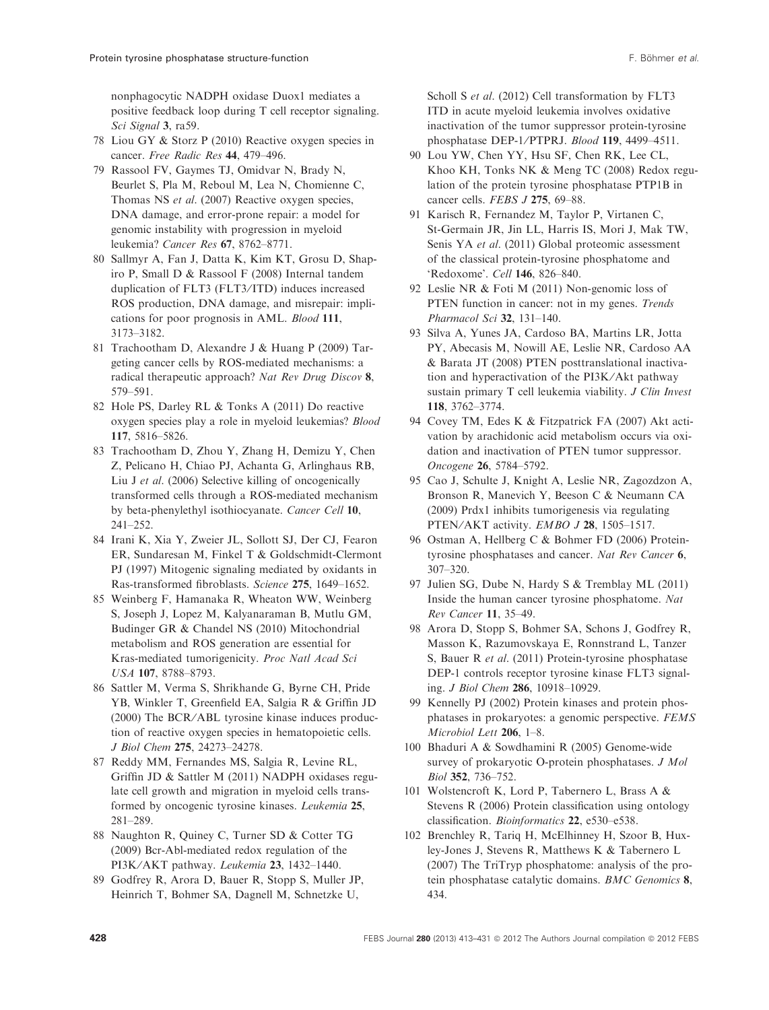nonphagocytic NADPH oxidase Duox1 mediates a positive feedback loop during T cell receptor signaling. Sci Signal 3, ra59.

- 78 Liou GY & Storz P (2010) Reactive oxygen species in cancer. Free Radic Res 44, 479–496.
- 79 Rassool FV, Gaymes TJ, Omidvar N, Brady N, Beurlet S, Pla M, Reboul M, Lea N, Chomienne C, Thomas NS et al. (2007) Reactive oxygen species, DNA damage, and error-prone repair: a model for genomic instability with progression in myeloid leukemia? Cancer Res 67, 8762–8771.
- 80 Sallmyr A, Fan J, Datta K, Kim KT, Grosu D, Shapiro P, Small D & Rassool F (2008) Internal tandem duplication of FLT3 (FLT3/ITD) induces increased ROS production, DNA damage, and misrepair: implications for poor prognosis in AML. Blood 111, 3173–3182.
- 81 Trachootham D, Alexandre J & Huang P (2009) Targeting cancer cells by ROS-mediated mechanisms: a radical therapeutic approach? Nat Rev Drug Discov 8, 579–591.
- 82 Hole PS, Darley RL & Tonks A (2011) Do reactive oxygen species play a role in myeloid leukemias? Blood 117, 5816–5826.
- 83 Trachootham D, Zhou Y, Zhang H, Demizu Y, Chen Z, Pelicano H, Chiao PJ, Achanta G, Arlinghaus RB, Liu J et al. (2006) Selective killing of oncogenically transformed cells through a ROS-mediated mechanism by beta-phenylethyl isothiocyanate. Cancer Cell 10, 241–252.
- 84 Irani K, Xia Y, Zweier JL, Sollott SJ, Der CJ, Fearon ER, Sundaresan M, Finkel T & Goldschmidt-Clermont PJ (1997) Mitogenic signaling mediated by oxidants in Ras-transformed fibroblasts. Science 275, 1649–1652.
- 85 Weinberg F, Hamanaka R, Wheaton WW, Weinberg S, Joseph J, Lopez M, Kalyanaraman B, Mutlu GM, Budinger GR & Chandel NS (2010) Mitochondrial metabolism and ROS generation are essential for Kras-mediated tumorigenicity. Proc Natl Acad Sci USA 107, 8788–8793.
- 86 Sattler M, Verma S, Shrikhande G, Byrne CH, Pride YB, Winkler T, Greenfield EA, Salgia R & Griffin JD (2000) The BCR/ABL tyrosine kinase induces production of reactive oxygen species in hematopoietic cells. J Biol Chem 275, 24273–24278.
- 87 Reddy MM, Fernandes MS, Salgia R, Levine RL, Griffin JD & Sattler M (2011) NADPH oxidases regulate cell growth and migration in myeloid cells transformed by oncogenic tyrosine kinases. Leukemia 25, 281–289.
- 88 Naughton R, Quiney C, Turner SD & Cotter TG (2009) Bcr-Abl-mediated redox regulation of the PI3K/AKT pathway. Leukemia 23, 1432-1440.
- 89 Godfrey R, Arora D, Bauer R, Stopp S, Muller JP, Heinrich T, Bohmer SA, Dagnell M, Schnetzke U,

Scholl S et al. (2012) Cell transformation by FLT3 ITD in acute myeloid leukemia involves oxidative inactivation of the tumor suppressor protein-tyrosine phosphatase DEP-1/PTPRJ. Blood 119, 4499-4511.

- 90 Lou YW, Chen YY, Hsu SF, Chen RK, Lee CL, Khoo KH, Tonks NK & Meng TC (2008) Redox regulation of the protein tyrosine phosphatase PTP1B in cancer cells. FEBS J 275, 69-88.
- 91 Karisch R, Fernandez M, Taylor P, Virtanen C, St-Germain JR, Jin LL, Harris IS, Mori J, Mak TW, Senis YA et al. (2011) Global proteomic assessment of the classical protein-tyrosine phosphatome and 'Redoxome'. Cell 146, 826–840.
- 92 Leslie NR & Foti M (2011) Non-genomic loss of PTEN function in cancer: not in my genes. Trends Pharmacol Sci 32, 131–140.
- 93 Silva A, Yunes JA, Cardoso BA, Martins LR, Jotta PY, Abecasis M, Nowill AE, Leslie NR, Cardoso AA & Barata JT (2008) PTEN posttranslational inactivation and hyperactivation of the PI3K ⁄ Akt pathway sustain primary T cell leukemia viability. J Clin Invest 118, 3762–3774.
- 94 Covey TM, Edes K & Fitzpatrick FA (2007) Akt activation by arachidonic acid metabolism occurs via oxidation and inactivation of PTEN tumor suppressor. Oncogene 26, 5784–5792.
- 95 Cao J, Schulte J, Knight A, Leslie NR, Zagozdzon A, Bronson R, Manevich Y, Beeson C & Neumann CA (2009) Prdx1 inhibits tumorigenesis via regulating PTEN/AKT activity. EMBO  $J$  28, 1505-1517.
- 96 Ostman A, Hellberg C & Bohmer FD (2006) Proteintyrosine phosphatases and cancer. Nat Rev Cancer 6, 307–320.
- 97 Julien SG, Dube N, Hardy S & Tremblay ML (2011) Inside the human cancer tyrosine phosphatome. Nat Rev Cancer 11, 35–49.
- 98 Arora D, Stopp S, Bohmer SA, Schons J, Godfrey R, Masson K, Razumovskaya E, Ronnstrand L, Tanzer S, Bauer R et al. (2011) Protein-tyrosine phosphatase DEP-1 controls receptor tyrosine kinase FLT3 signaling. J Biol Chem 286, 10918–10929.
- 99 Kennelly PJ (2002) Protein kinases and protein phosphatases in prokaryotes: a genomic perspective. FEMS Microbiol Lett 206, 1–8.
- 100 Bhaduri A & Sowdhamini R (2005) Genome-wide survey of prokaryotic O-protein phosphatases. J Mol Biol 352, 736–752.
- 101 Wolstencroft K, Lord P, Tabernero L, Brass A & Stevens R (2006) Protein classification using ontology classification. Bioinformatics 22, e530–e538.
- 102 Brenchley R, Tariq H, McElhinney H, Szoor B, Huxley-Jones J, Stevens R, Matthews K & Tabernero L (2007) The TriTryp phosphatome: analysis of the protein phosphatase catalytic domains. BMC Genomics 8, 434.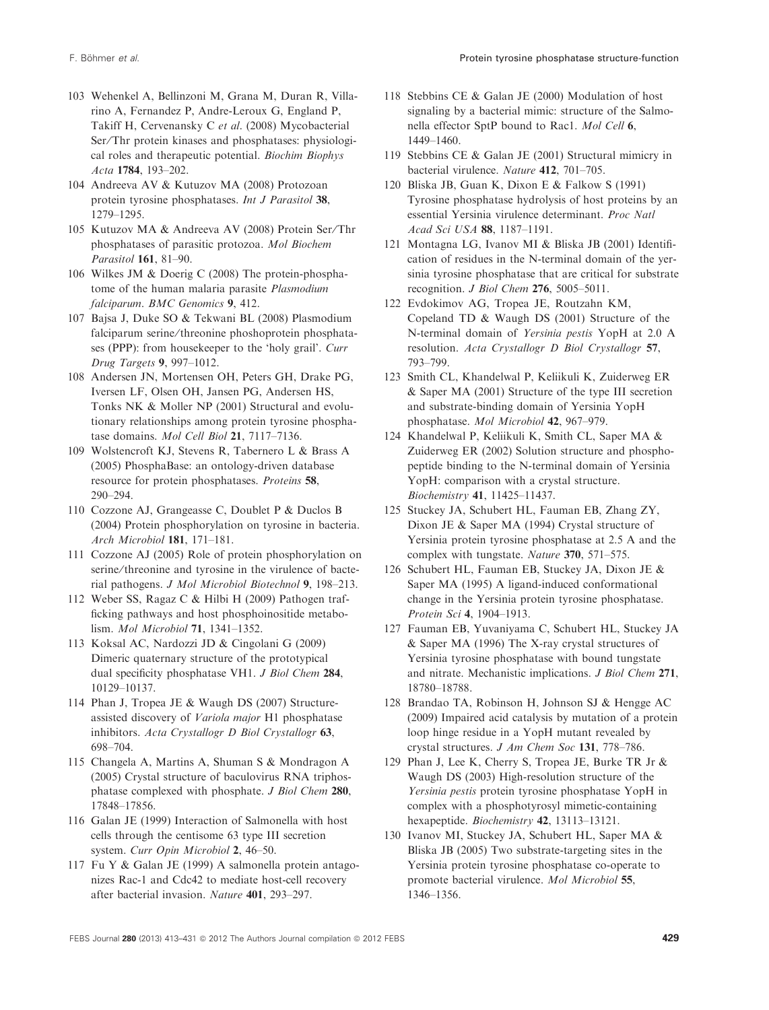- 103 Wehenkel A, Bellinzoni M, Grana M, Duran R, Villarino A, Fernandez P, Andre-Leroux G, England P, Takiff H, Cervenansky C et al. (2008) Mycobacterial Ser⁄Thr protein kinases and phosphatases: physiological roles and therapeutic potential. Biochim Biophys Acta 1784, 193–202.
- 104 Andreeva AV & Kutuzov MA (2008) Protozoan protein tyrosine phosphatases. Int J Parasitol 38, 1279–1295.
- 105 Kutuzov MA & Andreeva AV (2008) Protein Ser⁄Thr phosphatases of parasitic protozoa. Mol Biochem Parasitol 161, 81–90.
- 106 Wilkes JM & Doerig C (2008) The protein-phosphatome of the human malaria parasite Plasmodium falciparum. BMC Genomics 9, 412.
- 107 Bajsa J, Duke SO & Tekwani BL (2008) Plasmodium falciparum serine/threonine phoshoprotein phosphatases (PPP): from housekeeper to the 'holy grail'. Curr Drug Targets 9, 997–1012.
- 108 Andersen JN, Mortensen OH, Peters GH, Drake PG, Iversen LF, Olsen OH, Jansen PG, Andersen HS, Tonks NK & Moller NP (2001) Structural and evolutionary relationships among protein tyrosine phosphatase domains. Mol Cell Biol 21, 7117-7136.
- 109 Wolstencroft KJ, Stevens R, Tabernero L & Brass A (2005) PhosphaBase: an ontology-driven database resource for protein phosphatases. Proteins 58, 290–294.
- 110 Cozzone AJ, Grangeasse C, Doublet P & Duclos B (2004) Protein phosphorylation on tyrosine in bacteria. Arch Microbiol 181, 171–181.
- 111 Cozzone AJ (2005) Role of protein phosphorylation on serine/threonine and tyrosine in the virulence of bacterial pathogens. J Mol Microbiol Biotechnol 9, 198–213.
- 112 Weber SS, Ragaz C & Hilbi H (2009) Pathogen trafficking pathways and host phosphoinositide metabolism. Mol Microbiol 71, 1341–1352.
- 113 Koksal AC, Nardozzi JD & Cingolani G (2009) Dimeric quaternary structure of the prototypical dual specificity phosphatase VH1. *J Biol Chem* 284, 10129–10137.
- 114 Phan J, Tropea JE & Waugh DS (2007) Structureassisted discovery of Variola major H1 phosphatase inhibitors. Acta Crystallogr D Biol Crystallogr 63, 698–704.
- 115 Changela A, Martins A, Shuman S & Mondragon A (2005) Crystal structure of baculovirus RNA triphosphatase complexed with phosphate. J Biol Chem 280, 17848–17856.
- 116 Galan JE (1999) Interaction of Salmonella with host cells through the centisome 63 type III secretion system. Curr Opin Microbiol 2, 46–50.
- 117 Fu Y & Galan JE (1999) A salmonella protein antagonizes Rac-1 and Cdc42 to mediate host-cell recovery after bacterial invasion. Nature 401, 293–297.
- 118 Stebbins CE & Galan JE (2000) Modulation of host signaling by a bacterial mimic: structure of the Salmonella effector SptP bound to Rac1. Mol Cell 6, 1449–1460.
- 119 Stebbins CE & Galan JE (2001) Structural mimicry in bacterial virulence. Nature 412, 701–705.
- 120 Bliska JB, Guan K, Dixon E & Falkow S (1991) Tyrosine phosphatase hydrolysis of host proteins by an essential Yersinia virulence determinant. Proc Natl Acad Sci USA 88, 1187–1191.
- 121 Montagna LG, Ivanov MI & Bliska JB (2001) Identification of residues in the N-terminal domain of the yersinia tyrosine phosphatase that are critical for substrate recognition. J Biol Chem 276, 5005–5011.
- 122 Evdokimov AG, Tropea JE, Routzahn KM, Copeland TD & Waugh DS (2001) Structure of the N-terminal domain of Yersinia pestis YopH at 2.0 A resolution. Acta Crystallogr D Biol Crystallogr 57, 793–799.
- 123 Smith CL, Khandelwal P, Keliikuli K, Zuiderweg ER & Saper MA (2001) Structure of the type III secretion and substrate-binding domain of Yersinia YopH phosphatase. Mol Microbiol 42, 967–979.
- 124 Khandelwal P, Keliikuli K, Smith CL, Saper MA & Zuiderweg ER (2002) Solution structure and phosphopeptide binding to the N-terminal domain of Yersinia YopH: comparison with a crystal structure. Biochemistry 41, 11425–11437.
- 125 Stuckey JA, Schubert HL, Fauman EB, Zhang ZY, Dixon JE & Saper MA (1994) Crystal structure of Yersinia protein tyrosine phosphatase at 2.5 A and the complex with tungstate. Nature 370, 571–575.
- 126 Schubert HL, Fauman EB, Stuckey JA, Dixon JE & Saper MA (1995) A ligand-induced conformational change in the Yersinia protein tyrosine phosphatase. Protein Sci 4, 1904–1913.
- 127 Fauman EB, Yuvaniyama C, Schubert HL, Stuckey JA & Saper MA (1996) The X-ray crystal structures of Yersinia tyrosine phosphatase with bound tungstate and nitrate. Mechanistic implications. J Biol Chem 271, 18780–18788.
- 128 Brandao TA, Robinson H, Johnson SJ & Hengge AC (2009) Impaired acid catalysis by mutation of a protein loop hinge residue in a YopH mutant revealed by crystal structures. J Am Chem Soc 131, 778–786.
- 129 Phan J, Lee K, Cherry S, Tropea JE, Burke TR Jr & Waugh DS (2003) High-resolution structure of the Yersinia pestis protein tyrosine phosphatase YopH in complex with a phosphotyrosyl mimetic-containing hexapeptide. Biochemistry 42, 13113–13121.
- 130 Ivanov MI, Stuckey JA, Schubert HL, Saper MA & Bliska JB (2005) Two substrate-targeting sites in the Yersinia protein tyrosine phosphatase co-operate to promote bacterial virulence. Mol Microbiol 55, 1346–1356.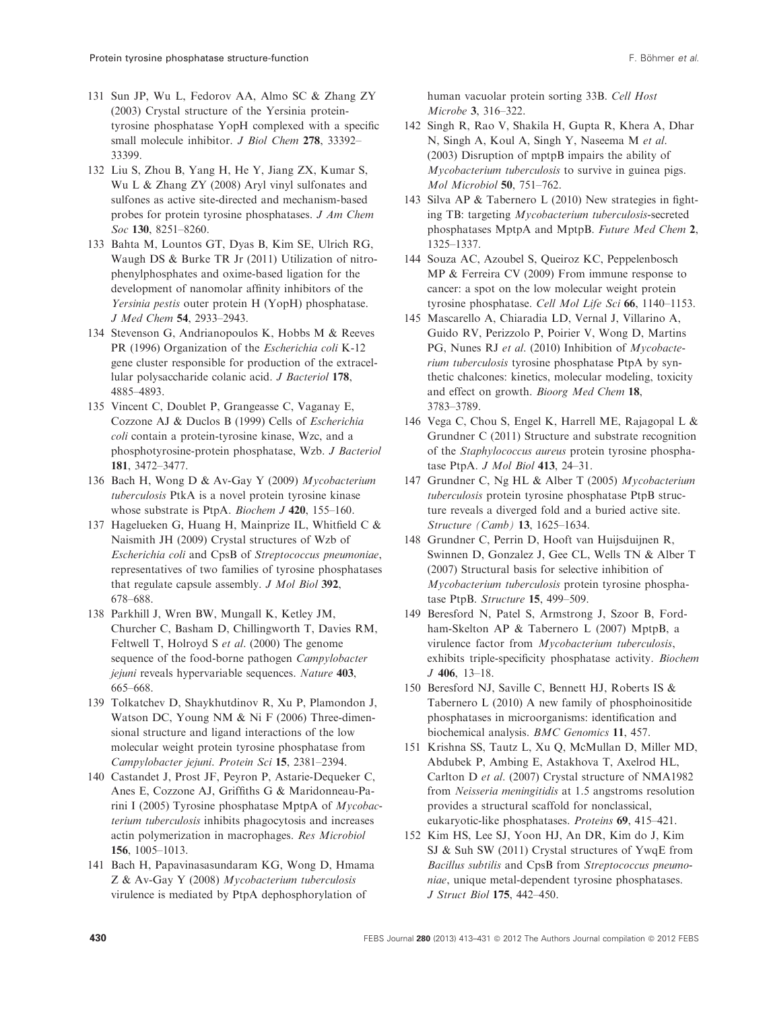- 131 Sun JP, Wu L, Fedorov AA, Almo SC & Zhang ZY (2003) Crystal structure of the Yersinia proteintyrosine phosphatase YopH complexed with a specific small molecule inhibitor. *J Biol Chem* 278, 33392-33399.
- 132 Liu S, Zhou B, Yang H, He Y, Jiang ZX, Kumar S, Wu L & Zhang ZY (2008) Aryl vinyl sulfonates and sulfones as active site-directed and mechanism-based probes for protein tyrosine phosphatases. J Am Chem Soc 130, 8251–8260.
- 133 Bahta M, Lountos GT, Dyas B, Kim SE, Ulrich RG, Waugh DS & Burke TR Jr (2011) Utilization of nitrophenylphosphates and oxime-based ligation for the development of nanomolar affinity inhibitors of the Yersinia pestis outer protein H (YopH) phosphatase. J Med Chem 54, 2933–2943.
- 134 Stevenson G, Andrianopoulos K, Hobbs M & Reeves PR (1996) Organization of the Escherichia coli K-12 gene cluster responsible for production of the extracellular polysaccharide colanic acid. J Bacteriol 178, 4885–4893.
- 135 Vincent C, Doublet P, Grangeasse C, Vaganay E, Cozzone AJ & Duclos B (1999) Cells of Escherichia coli contain a protein-tyrosine kinase, Wzc, and a phosphotyrosine-protein phosphatase, Wzb. J Bacteriol 181, 3472–3477.
- 136 Bach H, Wong D & Av-Gay Y (2009) Mycobacterium tuberculosis PtkA is a novel protein tyrosine kinase whose substrate is PtpA. Biochem J 420, 155-160.
- 137 Hagelueken G, Huang H, Mainprize IL, Whitfield C & Naismith JH (2009) Crystal structures of Wzb of Escherichia coli and CpsB of Streptococcus pneumoniae, representatives of two families of tyrosine phosphatases that regulate capsule assembly. J Mol Biol 392, 678–688.
- 138 Parkhill J, Wren BW, Mungall K, Ketley JM, Churcher C, Basham D, Chillingworth T, Davies RM, Feltwell T, Holroyd S et al. (2000) The genome sequence of the food-borne pathogen Campylobacter jejuni reveals hypervariable sequences. Nature 403, 665–668.
- 139 Tolkatchev D, Shaykhutdinov R, Xu P, Plamondon J, Watson DC, Young NM & Ni F (2006) Three-dimensional structure and ligand interactions of the low molecular weight protein tyrosine phosphatase from Campylobacter jejuni. Protein Sci 15, 2381–2394.
- 140 Castandet J, Prost JF, Peyron P, Astarie-Dequeker C, Anes E, Cozzone AJ, Griffiths G & Maridonneau-Parini I (2005) Tyrosine phosphatase MptpA of Mycobacterium tuberculosis inhibits phagocytosis and increases actin polymerization in macrophages. Res Microbiol 156, 1005–1013.
- 141 Bach H, Papavinasasundaram KG, Wong D, Hmama Z & Av-Gay Y (2008) Mycobacterium tuberculosis virulence is mediated by PtpA dephosphorylation of

human vacuolar protein sorting 33B. Cell Host Microbe 3, 316–322.

- 142 Singh R, Rao V, Shakila H, Gupta R, Khera A, Dhar N, Singh A, Koul A, Singh Y, Naseema M et al. (2003) Disruption of mptpB impairs the ability of Mycobacterium tuberculosis to survive in guinea pigs. Mol Microbiol 50, 751–762.
- 143 Silva AP & Tabernero L (2010) New strategies in fighting TB: targeting Mycobacterium tuberculosis-secreted phosphatases MptpA and MptpB. Future Med Chem 2, 1325–1337.
- 144 Souza AC, Azoubel S, Queiroz KC, Peppelenbosch MP & Ferreira CV (2009) From immune response to cancer: a spot on the low molecular weight protein tyrosine phosphatase. Cell Mol Life Sci 66, 1140–1153.
- 145 Mascarello A, Chiaradia LD, Vernal J, Villarino A, Guido RV, Perizzolo P, Poirier V, Wong D, Martins PG, Nunes RJ et al. (2010) Inhibition of Mycobacterium tuberculosis tyrosine phosphatase PtpA by synthetic chalcones: kinetics, molecular modeling, toxicity and effect on growth. Bioorg Med Chem 18, 3783–3789.
- 146 Vega C, Chou S, Engel K, Harrell ME, Rajagopal L & Grundner C (2011) Structure and substrate recognition of the Staphylococcus aureus protein tyrosine phosphatase PtpA. J Mol Biol 413, 24–31.
- 147 Grundner C, Ng HL & Alber T (2005) Mycobacterium tuberculosis protein tyrosine phosphatase PtpB structure reveals a diverged fold and a buried active site. Structure (Camb) 13, 1625–1634.
- 148 Grundner C, Perrin D, Hooft van Huijsduijnen R, Swinnen D, Gonzalez J, Gee CL, Wells TN & Alber T (2007) Structural basis for selective inhibition of Mycobacterium tuberculosis protein tyrosine phosphatase PtpB. Structure 15, 499-509.
- 149 Beresford N, Patel S, Armstrong J, Szoor B, Fordham-Skelton AP & Tabernero L (2007) MptpB, a virulence factor from Mycobacterium tuberculosis, exhibits triple-specificity phosphatase activity. Biochem J 406, 13–18.
- 150 Beresford NJ, Saville C, Bennett HJ, Roberts IS & Tabernero L (2010) A new family of phosphoinositide phosphatases in microorganisms: identification and biochemical analysis. BMC Genomics 11, 457.
- 151 Krishna SS, Tautz L, Xu Q, McMullan D, Miller MD, Abdubek P, Ambing E, Astakhova T, Axelrod HL, Carlton D et al. (2007) Crystal structure of NMA1982 from Neisseria meningitidis at 1.5 angstroms resolution provides a structural scaffold for nonclassical, eukaryotic-like phosphatases. Proteins 69, 415–421.
- 152 Kim HS, Lee SJ, Yoon HJ, An DR, Kim do J, Kim SJ & Suh SW (2011) Crystal structures of YwqE from Bacillus subtilis and CpsB from Streptococcus pneumoniae, unique metal-dependent tyrosine phosphatases. J Struct Biol 175, 442–450.